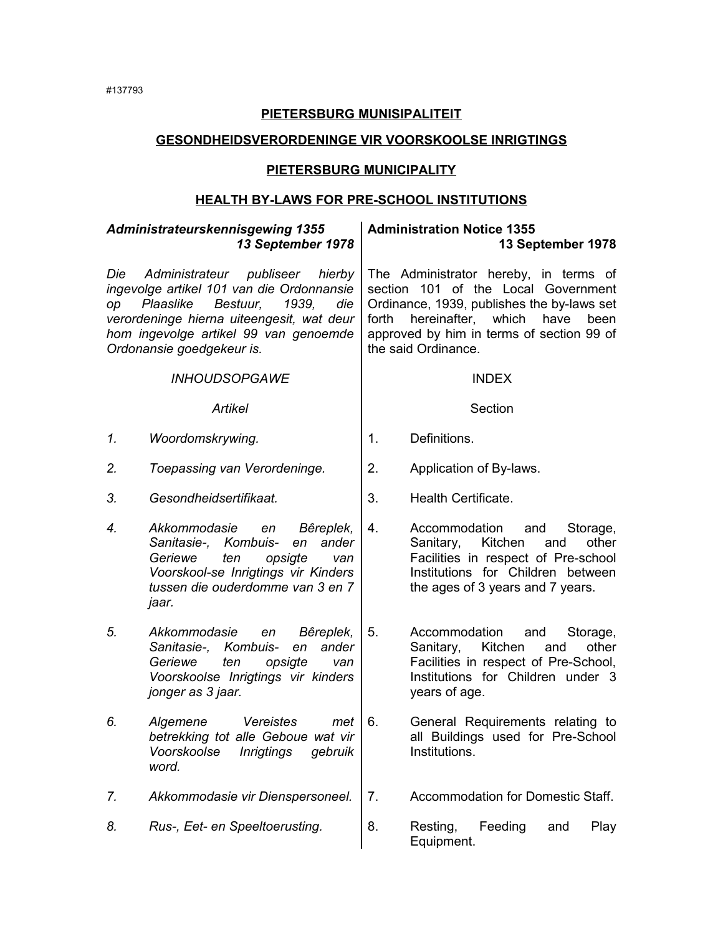## **PIETERSBURG MUNISIPALITEIT**

### **GESONDHEIDSVERORDENINGE VIR VOORSKOOLSE INRIGTINGS**

## **PIETERSBURG MUNICIPALITY**

### **HEALTH BY-LAWS FOR PRE-SCHOOL INSTITUTIONS** *Administrateurskennisgewing 1355 13 September 1978* **Administration Notice 1355 13 September 1978** *Die Administrateur publiseer hierby ingevolge artikel 101 van die Ordonnansie op Plaaslike Bestuur, 1939, die verordeninge hierna uiteengesit, wat deur hom ingevolge artikel 99 van genoemde Ordonansie goedgekeur is.* The Administrator hereby, in terms of section 101 of the Local Government Ordinance, 1939, publishes the by-laws set forth hereinafter, which have been approved by him in terms of section 99 of the said Ordinance. *INHOUDSOPGAWE* INDEX Artikel **Article Section** 1. Woordomskrywing. 1. Definitions. 2. *Toepassing van Verordeninge.* | 2. Application of By-laws. *3. Gesondheidsertifikaat.* 3. Health Certificate. *4. Akkommodasie en Bêreplek, Sanitasie-, Kombuis- en ander Geriewe ten opsigte van Voorskool-se Inrigtings vir Kinders tussen die ouderdomme van 3 en 7 jaar.* 4. Accommodation and Storage, Sanitary, Kitchen and other Facilities in respect of Pre-school Institutions for Children between the ages of 3 years and 7 years. *5. Akkommodasie en Bêreplek, Sanitasie-, Kombuis- en ander Geriewe ten opsigte van Voorskoolse Inrigtings vir kinders jonger as 3 jaar.* 5. Accommodation and Storage, Sanitary, Kitchen and other Facilities in respect of Pre-School, Institutions for Children under 3 years of age. *6. Algemene Vereistes met betrekking tot alle Geboue wat vir Voorskoolse Inrigtings gebruik word.* 6. General Requirements relating to all Buildings used for Pre-School Institutions. *7. Akkommodasie vir Dienspersoneel.* 7. Accommodation for Domestic Staff. *8. Rus-, Eet- en Speeltoerusting.* 8. Resting, Feeding and Play Equipment.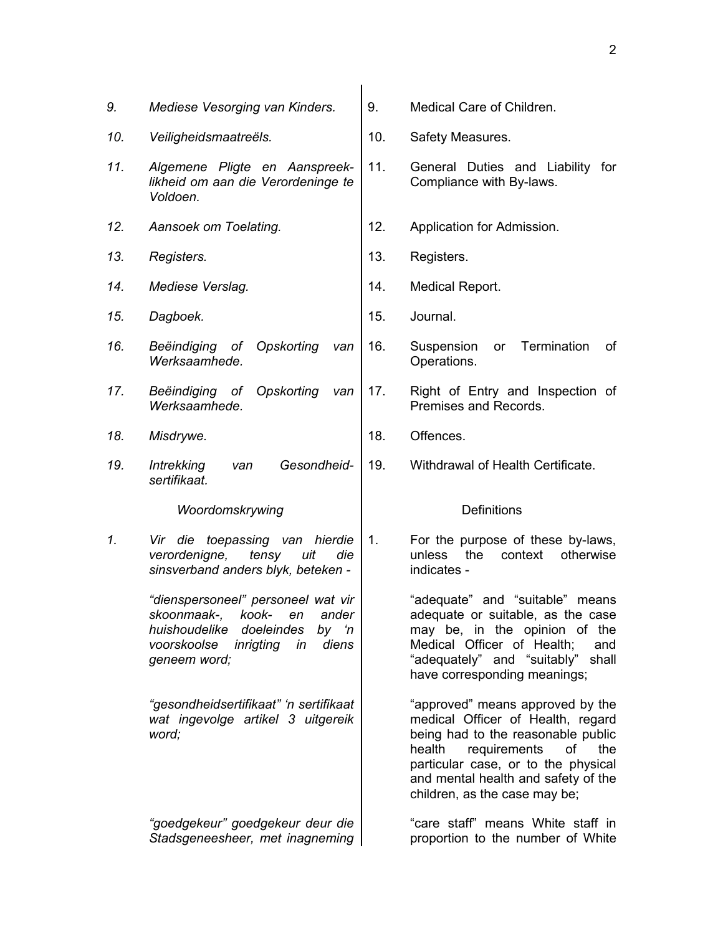| 9.  | Mediese Vesorging van Kinders.                                                                                                                                               | 9.             | Medical Care of Children.                                                                                                                                                                                                                                         |
|-----|------------------------------------------------------------------------------------------------------------------------------------------------------------------------------|----------------|-------------------------------------------------------------------------------------------------------------------------------------------------------------------------------------------------------------------------------------------------------------------|
| 10. | Veiligheidsmaatreëls.                                                                                                                                                        | 10.            | Safety Measures.                                                                                                                                                                                                                                                  |
| 11. | Algemene Pligte en Aanspreek-<br>likheid om aan die Verordeninge te<br>Voldoen.                                                                                              | 11.            | General Duties and Liability for<br>Compliance with By-laws.                                                                                                                                                                                                      |
| 12. | Aansoek om Toelating.                                                                                                                                                        | 12.            | Application for Admission.                                                                                                                                                                                                                                        |
| 13. | Registers.                                                                                                                                                                   | 13.            | Registers.                                                                                                                                                                                                                                                        |
| 14. | Mediese Verslag.                                                                                                                                                             | 14.            | Medical Report.                                                                                                                                                                                                                                                   |
| 15. | Dagboek.                                                                                                                                                                     | 15.            | Journal.                                                                                                                                                                                                                                                          |
| 16. | Beëindiging of Opskorting<br>van<br>Werksaamhede.                                                                                                                            | 16.            | Termination<br>Suspension<br>or<br>оf<br>Operations.                                                                                                                                                                                                              |
| 17. | Beëindiging of Opskorting<br>van<br>Werksaamhede.                                                                                                                            | 17.            | Right of Entry and Inspection of<br>Premises and Records.                                                                                                                                                                                                         |
| 18. | Misdrywe.                                                                                                                                                                    | 18.            | Offences.                                                                                                                                                                                                                                                         |
| 19. | Gesondheid-<br><b>Intrekking</b><br>van<br>sertifikaat.                                                                                                                      | 19.            | Withdrawal of Health Certificate.                                                                                                                                                                                                                                 |
|     | Woordomskrywing                                                                                                                                                              |                | <b>Definitions</b>                                                                                                                                                                                                                                                |
| 1.  | Vir die toepassing van hierdie<br>verordenigne,<br>tensy<br>uit<br>die<br>sinsverband anders blyk, beteken -                                                                 | $\mathbf{1}$ . | For the purpose of these by-laws,<br>the<br>context<br>otherwise<br>unless<br>indicates -                                                                                                                                                                         |
|     | "dienspersoneel" personeel wat vir<br>skoonmaak-,<br>kook-<br>ander<br>en<br>huishoudelike<br>doeleindes<br>by 'n<br>voorskoolse<br>inrigting<br>diens<br>in<br>geneem word; |                | "adequate" and "suitable"<br>means<br>adequate or suitable, as the case<br>may be, in the opinion of the<br>Medical Officer of Health;<br>and<br>"adequately" and "suitably"<br>shall<br>have corresponding meanings;                                             |
|     | "gesondheidsertifikaat" 'n sertifikaat<br>wat ingevolge artikel 3 uitgereik<br>word;                                                                                         |                | "approved" means approved by the<br>medical Officer of Health, regard<br>being had to the reasonable public<br>requirements<br>health<br>of<br>the<br>particular case, or to the physical<br>and mental health and safety of the<br>children, as the case may be; |
|     | "goedgekeur" goedgekeur deur die<br>Stadsgeneesheer, met inagneming                                                                                                          |                | "care staff" means White staff in<br>proportion to the number of White                                                                                                                                                                                            |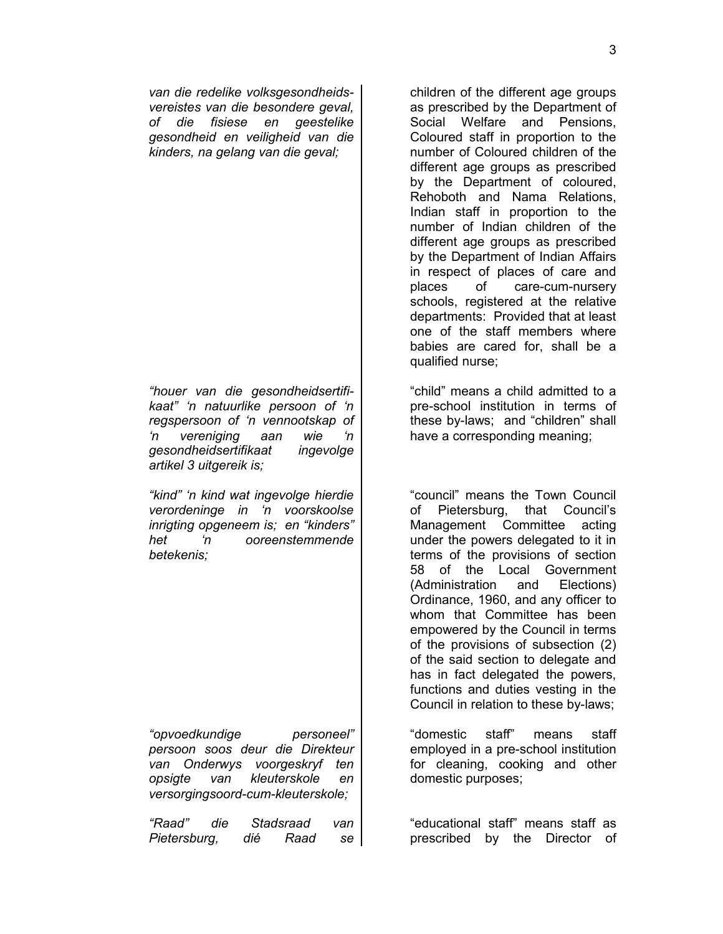*van die redelike volksgesondheidsvereistes van die besondere geval, of die fisiese en geestelike gesondheid en veiligheid van die kinders, na gelang van die geval;*

*"houer van die gesondheidsertifikaat" 'n natuurlike persoon of 'n regspersoon of 'n vennootskap of 'n vereniging aan wie 'n gesondheidsertifikaat ingevolge artikel 3 uitgereik is;*

*"kind" 'n kind wat ingevolge hierdie verordeninge in 'n voorskoolse inrigting opgeneem is; en "kinders" het 'n ooreenstemmende betekenis;*

*"opvoedkundige personeel" persoon soos deur die Direkteur van Onderwys voorgeskryf ten opsigte van kleuterskole en versorgingsoord-cum-kleuterskole;*

*"Raad" die Stadsraad van Pietersburg, dié Raad se*

children of the different age groups as prescribed by the Department of Social Welfare and Pensions Coloured staff in proportion to the number of Coloured children of the different age groups as prescribed by the Department of coloured, Rehoboth and Nama Relations, Indian staff in proportion to the number of Indian children of the different age groups as prescribed by the Department of Indian Affairs in respect of places of care and places of care-cum-nursery schools, registered at the relative departments: Provided that at least one of the staff members where babies are cared for, shall be a qualified nurse;

"child" means a child admitted to a pre-school institution in terms of these by-laws; and "children" shall have a corresponding meaning;

"council" means the Town Council of Pietersburg, that Council's Management Committee acting under the powers delegated to it in terms of the provisions of section 58 of the Local Government (Administration and Elections) Ordinance, 1960, and any officer to whom that Committee has been empowered by the Council in terms of the provisions of subsection (2) of the said section to delegate and has in fact delegated the powers, functions and duties vesting in the Council in relation to these by-laws;

"domestic staff" means staff employed in a pre-school institution for cleaning, cooking and other domestic purposes;

"educational staff" means staff as prescribed by the Director of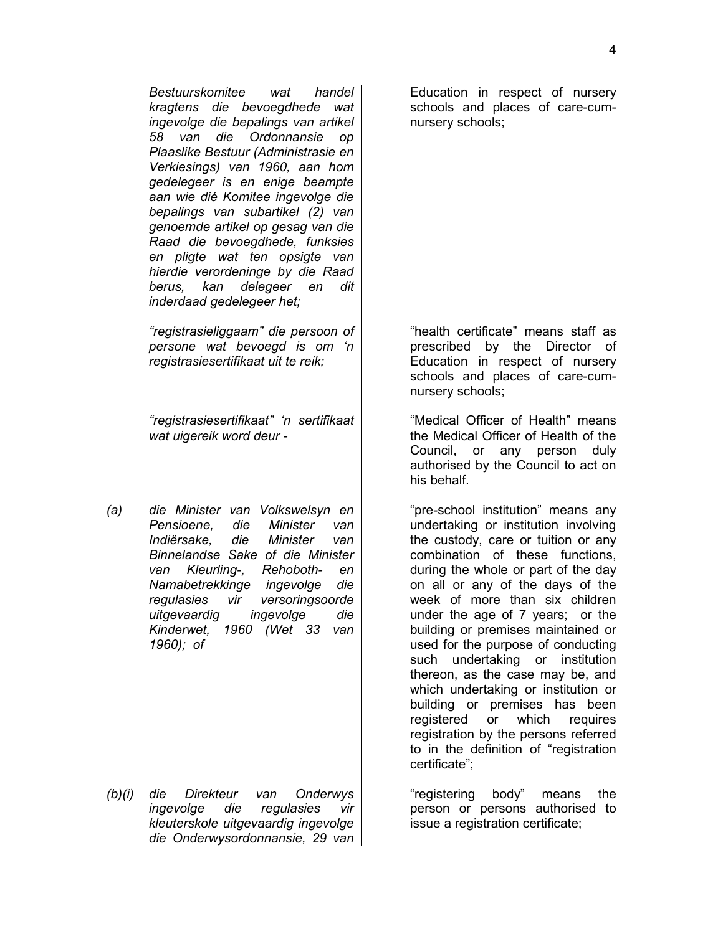*Bestuurskomitee wat handel kragtens die bevoegdhede wat ingevolge die bepalings van artikel 58 van die Ordonnansie op Plaaslike Bestuur (Administrasie en Verkiesings) van 1960, aan hom gedelegeer is en enige beampte aan wie dié Komitee ingevolge die bepalings van subartikel (2) van genoemde artikel op gesag van die Raad die bevoegdhede, funksies en pligte wat ten opsigte van hierdie verordeninge by die Raad*

*"registrasieliggaam" die persoon of persone wat bevoegd is om 'n registrasiesertifikaat uit te reik;*

*berus, kan delegeer en dit*

*inderdaad gedelegeer het;*

*"registrasiesertifikaat" 'n sertifikaat wat uigereik word deur -*

*(a) die Minister van Volkswelsyn en Pensioene, die Minister van Indiërsake, die Minister van Binnelandse Sake of die Minister van Kleurling-, Rehoboth- en Namabetrekkinge ingevolge die regulasies vir versoringsoorde uitgevaardig ingevolge die Kinderwet, 1960 (Wet 33 van 1960); of*

*(b)(i) die Direkteur van Onderwys ingevolge die regulasies vir kleuterskole uitgevaardig ingevolge die Onderwysordonnansie, 29 van*

Education in respect of nursery schools and places of care-cumnursery schools;

"health certificate" means staff as prescribed by the Director of Education in respect of nursery schools and places of care-cumnursery schools;

"Medical Officer of Health" means the Medical Officer of Health of the Council, or any person duly authorised by the Council to act on his behalf.

"pre-school institution" means any undertaking or institution involving the custody, care or tuition or any combination of these functions, during the whole or part of the day on all or any of the days of the week of more than six children under the age of 7 years; or the building or premises maintained or used for the purpose of conducting such undertaking or institution thereon, as the case may be, and which undertaking or institution or building or premises has been registered or which requires registration by the persons referred to in the definition of "registration certificate";

"registering body" means the person or persons authorised to issue a registration certificate;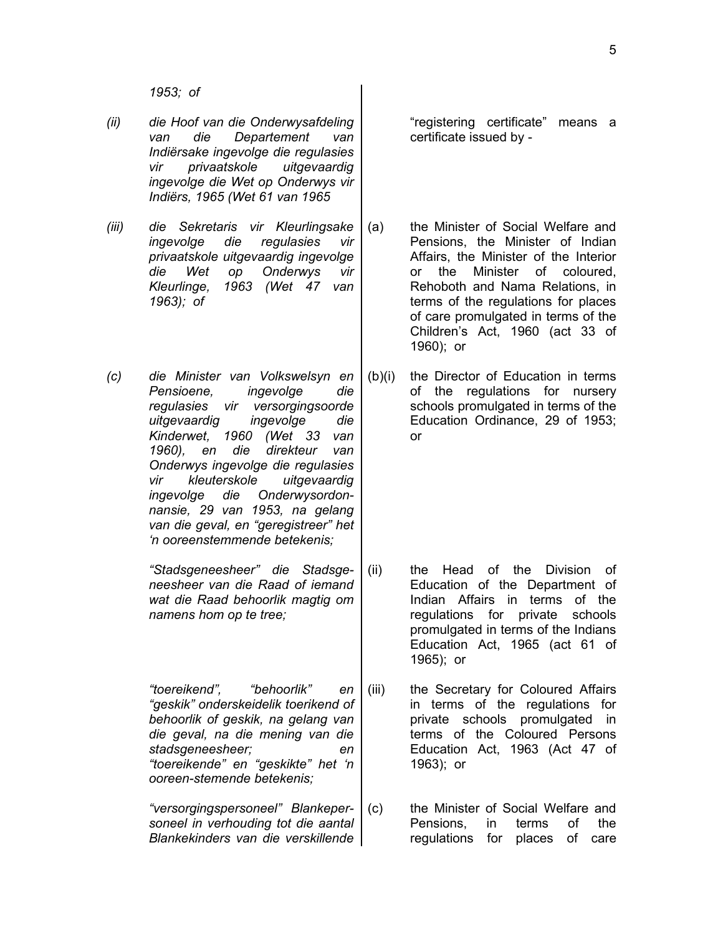- *(ii) die Hoof van die Onderwysafdeling van die Departement van Indiërsake ingevolge die regulasies vir privaatskole uitgevaardig ingevolge die Wet op Onderwys vir Indiërs, 1965 (Wet 61 van 1965*
- *(iii) die Sekretaris vir Kleurlingsake ingevolge die regulasies vir privaatskole uitgevaardig ingevolge die Wet op Onderwys vir Kleurlinge, 1963 (Wet 47 van 1963); of*
- *(c) die Minister van Volkswelsyn en Pensioene, ingevolge die regulasies vir versorgingsoorde uitgevaardig ingevolge die Kinderwet, 1960 (Wet 33 van 1960), en die direkteur van Onderwys ingevolge die regulasies vir kleuterskole uitgevaardig ingevolge die Onderwysordonnansie, 29 van 1953, na gelang van die geval, en "geregistreer" het 'n ooreenstemmende betekenis;*
	- *"Stadsgeneesheer" die Stadsgeneesheer van die Raad of iemand wat die Raad behoorlik magtig om namens hom op te tree;*

*"toereikend", "behoorlik" en "geskik" onderskeidelik toerikend of behoorlik of geskik, na gelang van die geval, na die mening van die stadsgeneesheer; en "toereikende" en "geskikte" het 'n ooreen-stemende betekenis;*

*"versorgingspersoneel" Blankepersoneel in verhouding tot die aantal Blankekinders van die verskillende*

"registering certificate" means a certificate issued by -

- (a) the Minister of Social Welfare and Pensions, the Minister of Indian Affairs, the Minister of the Interior or the Minister of coloured, Rehoboth and Nama Relations, in terms of the regulations for places of care promulgated in terms of the Children's Act, 1960 (act 33 of 1960); or
- (b)(i) the Director of Education in terms of the regulations for nursery schools promulgated in terms of the Education Ordinance, 29 of 1953; or

- (ii) the Head of the Division of Education of the Department of Indian Affairs in terms of the regulations for private schools promulgated in terms of the Indians Education Act, 1965 (act 61 of 1965); or
- (iii) the Secretary for Coloured Affairs in terms of the regulations for private schools promulgated in terms of the Coloured Persons Education Act, 1963 (Act 47 of 1963); or
- (c) the Minister of Social Welfare and Pensions, in terms of the regulations for places of care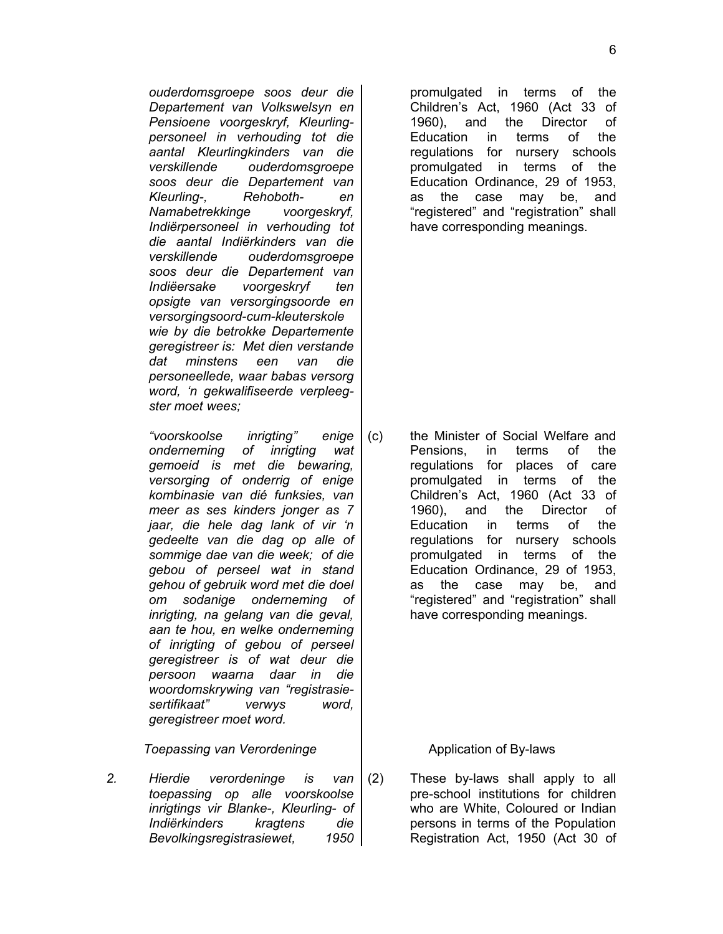*ouderdomsgroepe soos deur die Departement van Volkswelsyn en Pensioene voorgeskryf, Kleurlingpersoneel in verhouding tot die aantal Kleurlingkinders van die verskillende ouderdomsgroepe soos deur die Departement van Kleurling-, Rehoboth- en Namabetrekkinge voorgeskryf, Indiërpersoneel in verhouding tot die aantal Indiërkinders van die verskillende ouderdomsgroepe soos deur die Departement van Indiëersake voorgeskryf ten opsigte van versorgingsoorde en versorgingsoord-cum-kleuterskole wie by die betrokke Departemente geregistreer is: Met dien verstande dat minstens een van die personeellede, waar babas versorg word, 'n gekwalifiseerde verpleegster moet wees;*

*"voorskoolse inrigting" enige onderneming of inrigting wat gemoeid is met die bewaring, versorging of onderrig of enige kombinasie van dié funksies, van meer as ses kinders jonger as 7 jaar, die hele dag lank of vir 'n gedeelte van die dag op alle of sommige dae van die week; of die gebou of perseel wat in stand gehou of gebruik word met die doel om sodanige onderneming of inrigting, na gelang van die geval, aan te hou, en welke onderneming of inrigting of gebou of perseel geregistreer is of wat deur die persoon waarna daar in die woordomskrywing van "registrasiesertifikaat" verwys word, geregistreer moet word.*

*Toepassing van Verordeninge* and application of By-laws

*2. Hierdie verordeninge is van toepassing op alle voorskoolse inrigtings vir Blanke-, Kleurling- of Indiërkinders kragtens die Bevolkingsregistrasiewet, 1950*

promulgated in terms of the Children's Act, 1960 (Act 33 of 1960), and the Director of Education in terms of the regulations for nursery schools promulgated in terms of the Education Ordinance, 29 of 1953, as the case may be, and "registered" and "registration" shall have corresponding meanings.

(c) the Minister of Social Welfare and Pensions, in terms of the regulations for places of care promulgated in terms of the Children's Act, 1960 (Act 33 of 1960), and the Director of Education in terms of the regulations for nursery schools promulgated in terms of the Education Ordinance, 29 of 1953, as the case may be, and "registered" and "registration" shall have corresponding meanings.

(2) These by-laws shall apply to all pre-school institutions for children who are White, Coloured or Indian persons in terms of the Population Registration Act, 1950 (Act 30 of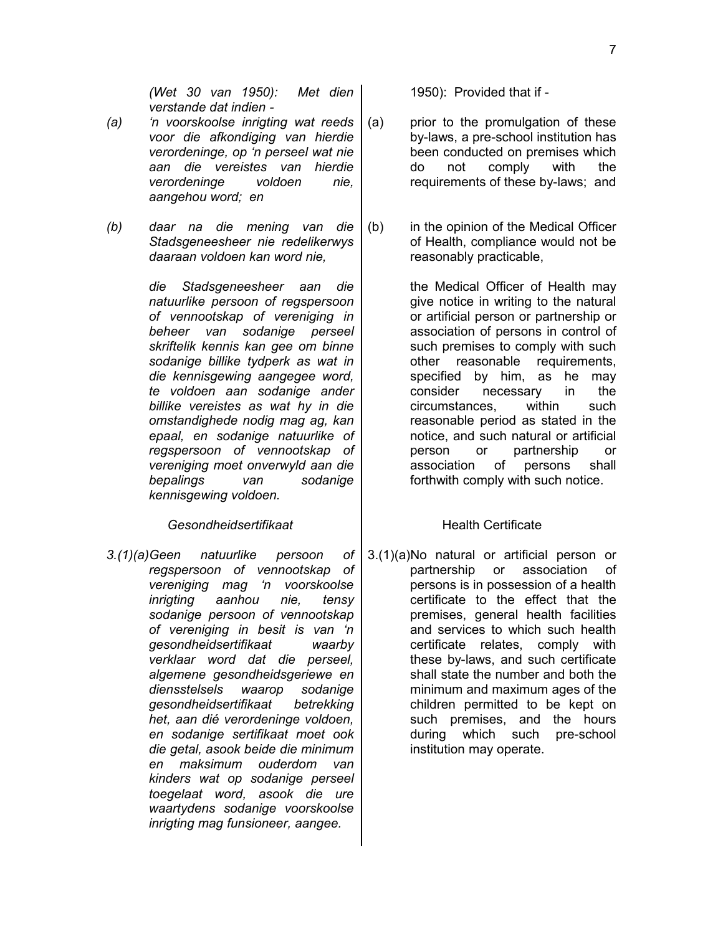*(Wet 30 van 1950): Met dien verstande dat indien -* 

- *(a) 'n voorskoolse inrigting wat reeds voor die afkondiging van hierdie verordeninge, op 'n perseel wat nie aan die vereistes van hierdie verordeninge voldoen nie, aangehou word; en*
- *(b) daar na die mening van die Stadsgeneesheer nie redelikerwys daaraan voldoen kan word nie,*

*die Stadsgeneesheer aan die natuurlike persoon of regspersoon of vennootskap of vereniging in beheer van sodanige perseel skriftelik kennis kan gee om binne sodanige billike tydperk as wat in die kennisgewing aangegee word, te voldoen aan sodanige ander billike vereistes as wat hy in die omstandighede nodig mag ag, kan epaal, en sodanige natuurlike of regspersoon of vennootskap of vereniging moet onverwyld aan die bepalings van sodanige kennisgewing voldoen.*

## **Gesondheidsertifikaat Health Certificate**

*3.(1)(a)Geen natuurlike persoon of regspersoon of vennootskap of vereniging mag 'n voorskoolse inrigting aanhou nie, tensy sodanige persoon of vennootskap of vereniging in besit is van 'n gesondheidsertifikaat waarby verklaar word dat die perseel, algemene gesondheidsgeriewe en diensstelsels waarop sodanige gesondheidsertifikaat betrekking het, aan dié verordeninge voldoen, en sodanige sertifikaat moet ook die getal, asook beide die minimum en maksimum ouderdom van kinders wat op sodanige perseel toegelaat word, asook die ure waartydens sodanige voorskoolse inrigting mag funsioneer, aangee.*

1950): Provided that if -

- (a) prior to the promulgation of these by-laws, a pre-school institution has been conducted on premises which do not comply with the requirements of these by-laws; and
- (b) in the opinion of the Medical Officer of Health, compliance would not be reasonably practicable,

the Medical Officer of Health may give notice in writing to the natural or artificial person or partnership or association of persons in control of such premises to comply with such other reasonable requirements, specified by him, as he may consider necessary in the circumstances, within such reasonable period as stated in the notice, and such natural or artificial person or partnership or association of persons shall forthwith comply with such notice.

3.(1)(a)No natural or artificial person or partnership or association of persons is in possession of a health certificate to the effect that the premises, general health facilities and services to which such health certificate relates, comply with these by-laws, and such certificate shall state the number and both the minimum and maximum ages of the children permitted to be kept on such premises, and the hours during which such pre-school institution may operate.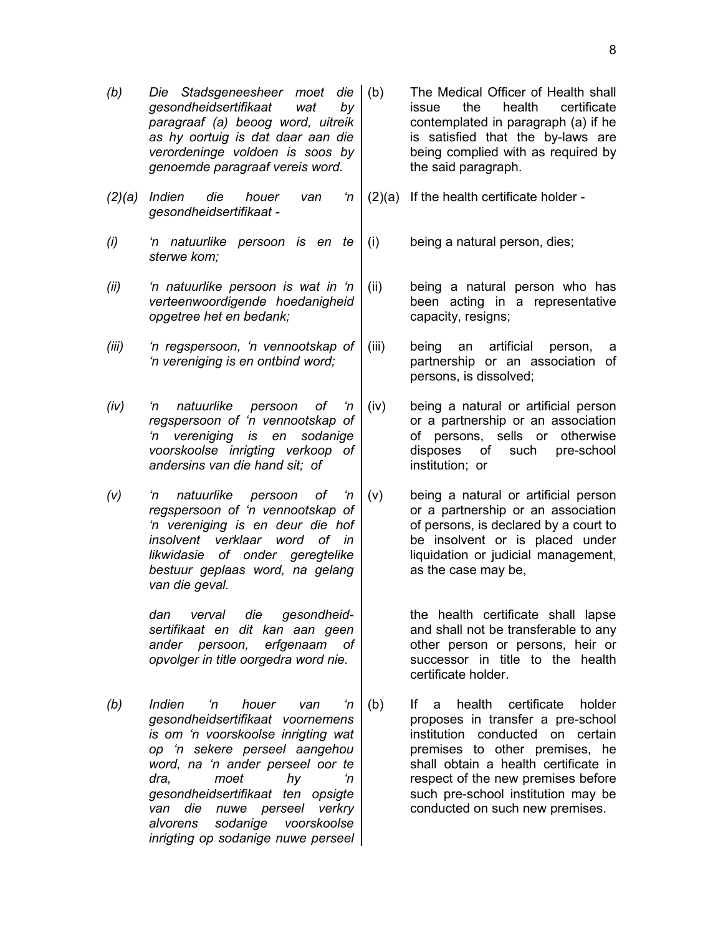- *(b) Die Stadsgeneesheer moet die gesondheidsertifikaat wat by paragraaf (a) beoog word, uitreik as hy oortuig is dat daar aan die verordeninge voldoen is soos by genoemde paragraaf vereis word.*
- *(2)(a) Indien die houer van 'n gesondheidsertifikaat -*
- *(i) 'n natuurlike persoon is en te sterwe kom;*
- *(ii) 'n natuurlike persoon is wat in 'n verteenwoordigende hoedanigheid opgetree het en bedank;*
- *(iii) 'n regspersoon, 'n vennootskap of 'n vereniging is en ontbind word;*
- *(iv) 'n natuurlike persoon of 'n regspersoon of 'n vennootskap of 'n vereniging is en sodanige voorskoolse inrigting verkoop of andersins van die hand sit; of*
- *(v) 'n natuurlike persoon of 'n regspersoon of 'n vennootskap of 'n vereniging is en deur die hof insolvent verklaar word of in likwidasie of onder geregtelike bestuur geplaas word, na gelang van die geval.*

*dan verval die gesondheidsertifikaat en dit kan aan geen ander persoon, erfgenaam of opvolger in title oorgedra word nie.*

*(b) Indien 'n houer van 'n gesondheidsertifikaat voornemens is om 'n voorskoolse inrigting wat op 'n sekere perseel aangehou word, na 'n ander perseel oor te dra, moet hy 'n gesondheidsertifikaat ten opsigte van die nuwe perseel verkry alvorens sodanige voorskoolse inrigting op sodanige nuwe perseel*

- The Medical Officer of Health shall issue the health certificate contemplated in paragraph (a) if he is satisfied that the by-laws are being complied with as required by the said paragraph.
	- (2)(a) If the health certificate holder -

(i) being a natural person, dies;

- (ii) being a natural person who has been acting in a representative capacity, resigns;
- (iii) being an artificial person, a partnership or an association of persons, is dissolved;
- (iv) being a natural or artificial person or a partnership or an association of persons, sells or otherwise disposes of such pre-school institution; or
- (v) being a natural or artificial person or a partnership or an association of persons, is declared by a court to be insolvent or is placed under liquidation or judicial management, as the case may be,

the health certificate shall lapse and shall not be transferable to any other person or persons, heir or successor in title to the health certificate holder.

(b) If a health certificate holder proposes in transfer a pre-school institution conducted on certain premises to other premises, he shall obtain a health certificate in respect of the new premises before such pre-school institution may be conducted on such new premises.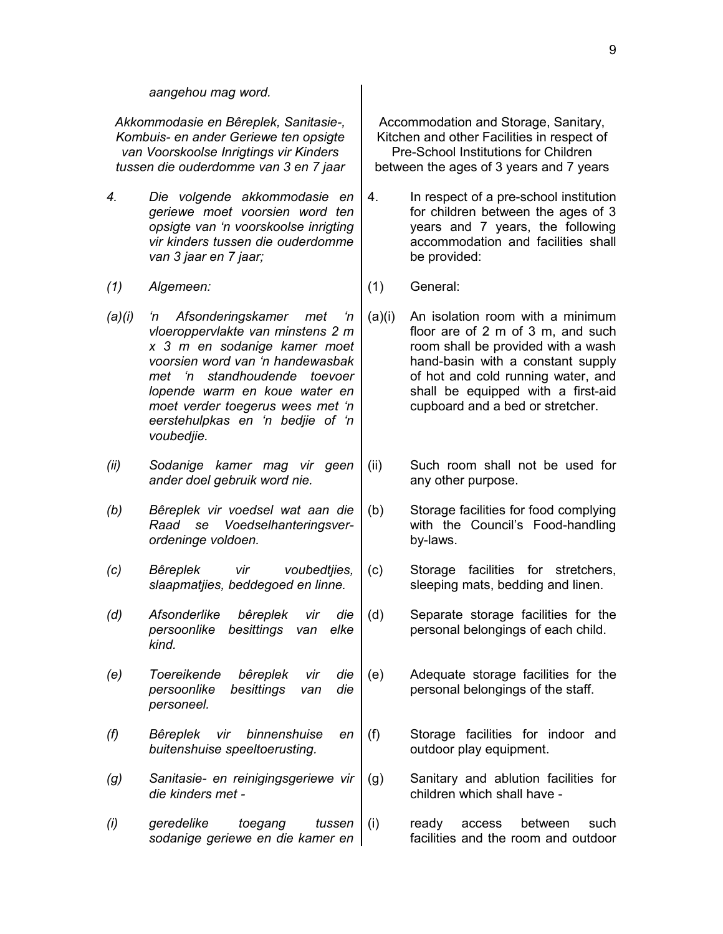*Akkommodasie en Bêreplek, Sanitasie-, Kombuis- en ander Geriewe ten opsigte van Voorskoolse Inrigtings vir Kinders tussen die ouderdomme van 3 en 7 jaar*

- *4. Die volgende akkommodasie en geriewe moet voorsien word ten opsigte van 'n voorskoolse inrigting vir kinders tussen die ouderdomme van 3 jaar en 7 jaar;*
- *(1) Algemeen:* (1) General:
- *(a)(i) 'n Afsonderingskamer met 'n vloeroppervlakte van minstens 2 m x 3 m en sodanige kamer moet voorsien word van 'n handewasbak met 'n standhoudende toevoer lopende warm en koue water en moet verder toegerus wees met 'n eerstehulpkas en 'n bedjie of 'n voubedjie.*
- *(ii) Sodanige kamer mag vir geen ander doel gebruik word nie.*
- *(b) Bêreplek vir voedsel wat aan die Raad se Voedselhanteringsverordeninge voldoen.*
- *(c) Bêreplek vir voubedtjies, slaapmatjies, beddegoed en linne.*
- *(d) Afsonderlike bêreplek vir die persoonlike besittings van elke kind.*
- *(e) Toereikende bêreplek vir die persoonlike besittings van die personeel.*
- *(f) Bêreplek vir binnenshuise en buitenshuise speeltoerusting.*
- *(g) Sanitasie- en reinigingsgeriewe vir die kinders met -*
- *(i) geredelike toegang tussen sodanige geriewe en die kamer en*

Accommodation and Storage, Sanitary, Kitchen and other Facilities in respect of Pre-School Institutions for Children between the ages of 3 years and 7 years

- 4. In respect of a pre-school institution for children between the ages of 3 years and 7 years, the following accommodation and facilities shall be provided:
- 
- (a)(i) An isolation room with a minimum floor are of 2 m of 3 m, and such room shall be provided with a wash hand-basin with a constant supply of hot and cold running water, and shall be equipped with a first-aid cupboard and a bed or stretcher.
- (ii) Such room shall not be used for any other purpose.
- (b) Storage facilities for food complying with the Council's Food-handling by-laws.
- (c) Storage facilities for stretchers, sleeping mats, bedding and linen.
- (d) Separate storage facilities for the personal belongings of each child.
- (e) Adequate storage facilities for the personal belongings of the staff.
- (f) Storage facilities for indoor and outdoor play equipment.
- (g) Sanitary and ablution facilities for children which shall have -
	- (i) ready access between such facilities and the room and outdoor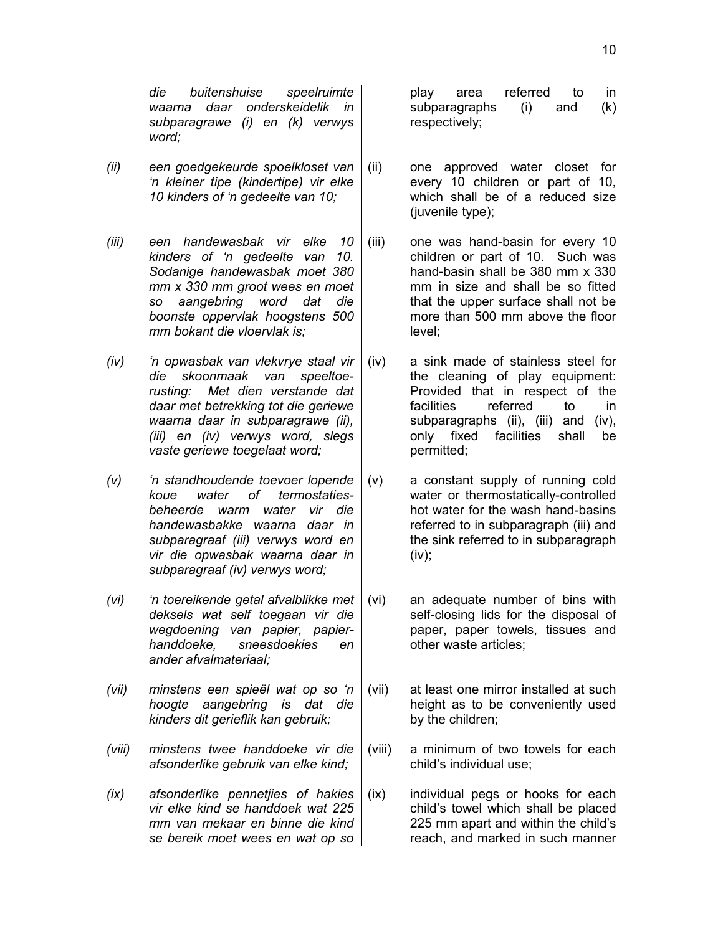*die buitenshuise speelruimte waarna daar onderskeidelik in subparagrawe (i) en (k) verwys word;*

- *(ii) een goedgekeurde spoelkloset van 'n kleiner tipe (kindertipe) vir elke 10 kinders of 'n gedeelte van 10;*
- *(iii) een handewasbak vir elke 10 kinders of 'n gedeelte van 10. Sodanige handewasbak moet 380 mm x 330 mm groot wees en moet so aangebring word dat die boonste oppervlak hoogstens 500 mm bokant die vloervlak is;*
- *(iv) 'n opwasbak van vlekvrye staal vir die skoonmaak van speeltoerusting: Met dien verstande dat daar met betrekking tot die geriewe waarna daar in subparagrawe (ii), (iii) en (iv) verwys word, slegs vaste geriewe toegelaat word;*
- *(v) 'n standhoudende toevoer lopende koue water of termostatiesbeheerde warm water vir die handewasbakke waarna daar in subparagraaf (iii) verwys word en vir die opwasbak waarna daar in subparagraaf (iv) verwys word;*
- *(vi) 'n toereikende getal afvalblikke met deksels wat self toegaan vir die wegdoening van papier, papierhanddoeke, sneesdoekies en ander afvalmateriaal;*
- *(vii) minstens een spieël wat op so 'n hoogte aangebring is dat die kinders dit gerieflik kan gebruik;*
- *(viii) minstens twee handdoeke vir die afsonderlike gebruik van elke kind;*
- *(ix) afsonderlike pennetjies of hakies vir elke kind se handdoek wat 225 mm van mekaar en binne die kind se bereik moet wees en wat op so*

play area referred to in subparagraphs (i) and (k) respectively;

- (ii) one approved water closet for every 10 children or part of 10, which shall be of a reduced size (juvenile type);
- (iii) one was hand-basin for every 10 children or part of 10. Such was hand-basin shall be 380 mm x 330 mm in size and shall be so fitted that the upper surface shall not be more than 500 mm above the floor level;
- (iv) a sink made of stainless steel for the cleaning of play equipment: Provided that in respect of the facilities referred to in subparagraphs (ii), (iii) and (iv), only fixed facilities shall be permitted;
- (v) a constant supply of running cold water or thermostatically-controlled hot water for the wash hand-basins referred to in subparagraph (iii) and the sink referred to in subparagraph (iv);
- (vi) an adequate number of bins with self-closing lids for the disposal of paper, paper towels, tissues and other waste articles;
- (vii) at least one mirror installed at such height as to be conveniently used by the children;
- (viii) a minimum of two towels for each child's individual use;
- (ix) individual pegs or hooks for each child's towel which shall be placed 225 mm apart and within the child's reach, and marked in such manner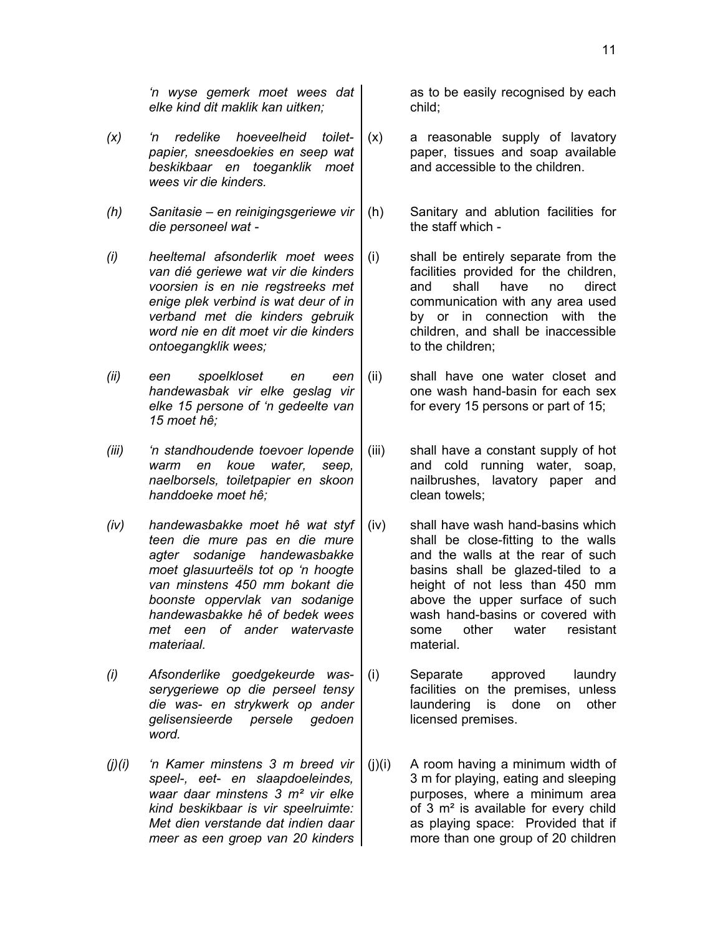- *(x) 'n redelike hoeveelheid toiletpapier, sneesdoekies en seep wat beskikbaar en toeganklik moet wees vir die kinders.*
- *(h) Sanitasie en reinigingsgeriewe vir die personeel wat -*
- *(i) heeltemal afsonderlik moet wees van dié geriewe wat vir die kinders voorsien is en nie regstreeks met enige plek verbind is wat deur of in verband met die kinders gebruik word nie en dit moet vir die kinders ontoegangklik wees;*
- *(ii) een spoelkloset en een handewasbak vir elke geslag vir elke 15 persone of 'n gedeelte van 15 moet hê;*
- *(iii) 'n standhoudende toevoer lopende warm en koue water, seep, naelborsels, toiletpapier en skoon handdoeke moet hê;*
- *(iv) handewasbakke moet hê wat styf teen die mure pas en die mure agter sodanige handewasbakke moet glasuurteëls tot op 'n hoogte van minstens 450 mm bokant die boonste oppervlak van sodanige handewasbakke hê of bedek wees met een of ander watervaste materiaal.*
- *(i) Afsonderlike goedgekeurde wasserygeriewe op die perseel tensy die was- en strykwerk op ander gelisensieerde persele gedoen word.*
- *(j)(i) 'n Kamer minstens 3 m breed vir speel-, eet- en slaapdoeleindes, waar daar minstens 3 m² vir elke kind beskikbaar is vir speelruimte: Met dien verstande dat indien daar meer as een groep van 20 kinders*

as to be easily recognised by each child;

- (x) a reasonable supply of lavatory paper, tissues and soap available and accessible to the children.
- (h) Sanitary and ablution facilities for the staff which -
- (i) shall be entirely separate from the facilities provided for the children, and shall have no direct communication with any area used by or in connection with the children, and shall be inaccessible to the children;
- (ii) shall have one water closet and one wash hand-basin for each sex for every 15 persons or part of 15;
- (iii) shall have a constant supply of hot and cold running water, soap, nailbrushes, lavatory paper and clean towels;
- (iv) shall have wash hand-basins which shall be close-fitting to the walls and the walls at the rear of such basins shall be glazed-tiled to a height of not less than 450 mm above the upper surface of such wash hand-basins or covered with some other water resistant material.
- (i) Separate approved laundry facilities on the premises, unless laundering is done on other licensed premises.
- (j)(i) A room having a minimum width of 3 m for playing, eating and sleeping purposes, where a minimum area of 3 m² is available for every child as playing space: Provided that if more than one group of 20 children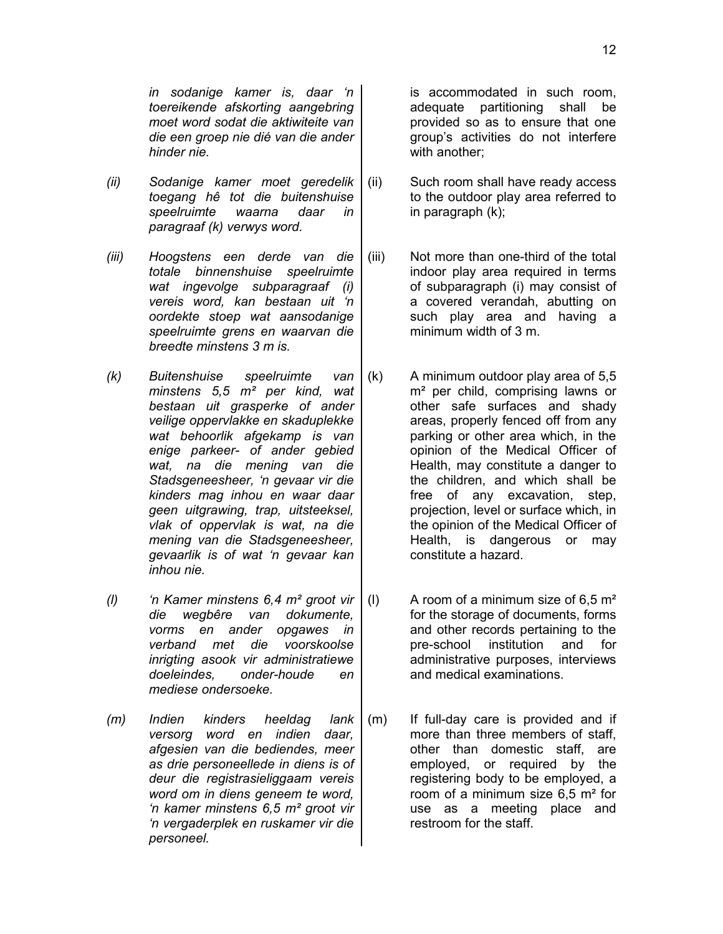- *(ii) Sodanige kamer moet geredelik toegang hê tot die buitenshuise speelruimte waarna daar in paragraaf (k) verwys word.*
- *(iii) Hoogstens een derde van die totale binnenshuise speelruimte wat ingevolge subparagraaf (i) vereis word, kan bestaan uit 'n oordekte stoep wat aansodanige speelruimte grens en waarvan die breedte minstens 3 m is.*
- *(k) Buitenshuise speelruimte van minstens 5,5 m² per kind, wat bestaan uit grasperke of ander veilige oppervlakke en skaduplekke wat behoorlik afgekamp is van enige parkeer- of ander gebied wat, na die mening van die Stadsgeneesheer, 'n gevaar vir die kinders mag inhou en waar daar geen uitgrawing, trap, uitsteeksel, vlak of oppervlak is wat, na die mening van die Stadsgeneesheer, gevaarlik is of wat 'n gevaar kan inhou nie.*
- *(l) 'n Kamer minstens 6,4 m² groot vir die wegbêre van dokumente, vorms en ander opgawes in verband met die voorskoolse inrigting asook vir administratiewe doeleindes, onder-houde en mediese ondersoeke.*
- *(m) Indien kinders heeldag lank versorg word en indien daar, afgesien van die bediendes, meer as drie personeellede in diens is of deur die registrasieliggaam vereis word om in diens geneem te word, 'n kamer minstens 6,5 m² groot vir 'n vergaderplek en ruskamer vir die personeel.*

is accommodated in such room, adequate partitioning shall be provided so as to ensure that one group's activities do not interfere with another;

- (ii) Such room shall have ready access to the outdoor play area referred to in paragraph (k);
- (iii) Not more than one-third of the total indoor play area required in terms of subparagraph (i) may consist of a covered verandah, abutting on such play area and having a minimum width of 3 m.
- (k) A minimum outdoor play area of 5,5 m² per child, comprising lawns or other safe surfaces and shady areas, properly fenced off from any parking or other area which, in the opinion of the Medical Officer of Health, may constitute a danger to the children, and which shall be free of any excavation, step, projection, level or surface which, in the opinion of the Medical Officer of Health, is dangerous or may constitute a hazard.
- (I) A room of a minimum size of  $6.5 \text{ m}^2$ for the storage of documents, forms and other records pertaining to the pre-school institution and for administrative purposes, interviews and medical examinations.
- (m) If full-day care is provided and if more than three members of staff, other than domestic staff, are employed, or required by the registering body to be employed, a room of a minimum size 6,5 m² for use as a meeting place and restroom for the staff.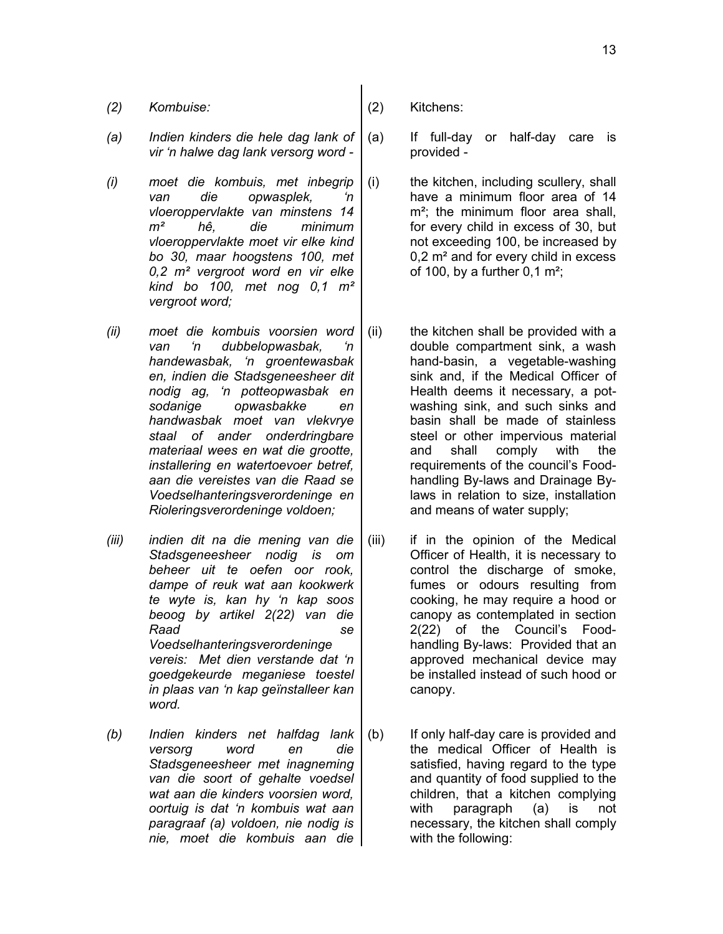- *(2) Kombuise:* (2) Kitchens:
- *(a) Indien kinders die hele dag lank of vir 'n halwe dag lank versorg word -*
- *(i) moet die kombuis, met inbegrip van die opwasplek, 'n vloeroppervlakte van minstens 14 m² hê, die minimum vloeroppervlakte moet vir elke kind bo 30, maar hoogstens 100, met 0,2 m² vergroot word en vir elke kind bo 100, met nog 0,1 m² vergroot word;*
- *(ii) moet die kombuis voorsien word van 'n dubbelopwasbak, 'n handewasbak, 'n groentewasbak en, indien die Stadsgeneesheer dit nodig ag, 'n potteopwasbak en sodanige opwasbakke en handwasbak moet van vlekvrye staal of ander onderdringbare materiaal wees en wat die grootte, installering en watertoevoer betref, aan die vereistes van die Raad se Voedselhanteringsverordeninge en Rioleringsverordeninge voldoen;*
- *(iii) indien dit na die mening van die Stadsgeneesheer nodig is om beheer uit te oefen oor rook, dampe of reuk wat aan kookwerk te wyte is, kan hy 'n kap soos beoog by artikel 2(22) van die Raad se Voedselhanteringsverordeninge vereis: Met dien verstande dat 'n goedgekeurde meganiese toestel in plaas van 'n kap geïnstalleer kan word.*
- *(b) Indien kinders net halfdag lank versorg word en die Stadsgeneesheer met inagneming van die soort of gehalte voedsel wat aan die kinders voorsien word, oortuig is dat 'n kombuis wat aan paragraaf (a) voldoen, nie nodig is nie, moet die kombuis aan die*
- 
- (a) If full-day or half-day care is provided -
- (i) the kitchen, including scullery, shall have a minimum floor area of 14 m<sup>2</sup>; the minimum floor area shall, for every child in excess of 30, but not exceeding 100, be increased by 0,2 m² and for every child in excess of 100, by a further  $0.1 \text{ m}^2$ ;
- (ii) the kitchen shall be provided with a double compartment sink, a wash hand-basin, a vegetable-washing sink and, if the Medical Officer of Health deems it necessary, a potwashing sink, and such sinks and basin shall be made of stainless steel or other impervious material and shall comply with the requirements of the council's Foodhandling By-laws and Drainage Bylaws in relation to size, installation and means of water supply;
- (iii) if in the opinion of the Medical Officer of Health, it is necessary to control the discharge of smoke, fumes or odours resulting from cooking, he may require a hood or canopy as contemplated in section 2(22) of the Council's Foodhandling By-laws: Provided that an approved mechanical device may be installed instead of such hood or canopy.
- (b) If only half-day care is provided and the medical Officer of Health is satisfied, having regard to the type and quantity of food supplied to the children, that a kitchen complying with paragraph (a) is not necessary, the kitchen shall comply with the following: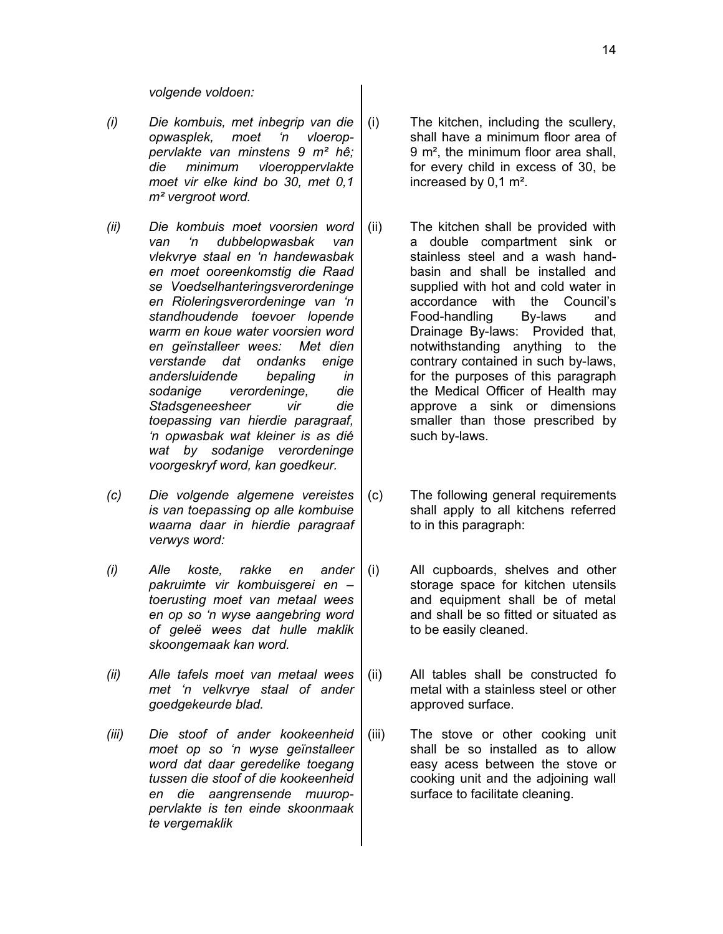*volgende voldoen:*

- *(i) Die kombuis, met inbegrip van die opwasplek, moet 'n vloeroppervlakte van minstens 9 m² hê; die minimum vloeroppervlakte moet vir elke kind bo 30, met 0,1 m² vergroot word.*
- *(ii) Die kombuis moet voorsien word van 'n dubbelopwasbak van vlekvrye staal en 'n handewasbak en moet ooreenkomstig die Raad se Voedselhanteringsverordeninge en Rioleringsverordeninge van 'n standhoudende toevoer lopende warm en koue water voorsien word en geïnstalleer wees: Met dien verstande dat ondanks enige andersluidende bepaling in sodanige verordeninge, die Stadsgeneesheer vir die toepassing van hierdie paragraaf, 'n opwasbak wat kleiner is as dié wat by sodanige verordeninge voorgeskryf word, kan goedkeur.*
- *(c) Die volgende algemene vereistes is van toepassing op alle kombuise waarna daar in hierdie paragraaf verwys word:*
- *(i) Alle koste, rakke en ander pakruimte vir kombuisgerei en – toerusting moet van metaal wees en op so 'n wyse aangebring word of geleë wees dat hulle maklik skoongemaak kan word.*
- *(ii) Alle tafels moet van metaal wees met 'n velkvrye staal of ander goedgekeurde blad.*
- *(iii) Die stoof of ander kookeenheid moet op so 'n wyse geïnstalleer word dat daar geredelike toegang tussen die stoof of die kookeenheid en die aangrensende muuroppervlakte is ten einde skoonmaak te vergemaklik*
- (i) The kitchen, including the scullery, shall have a minimum floor area of 9 m², the minimum floor area shall, for every child in excess of 30, be increased by 0,1 m².
- (ii) The kitchen shall be provided with a double compartment sink or stainless steel and a wash handbasin and shall be installed and supplied with hot and cold water in accordance with the Council's Food-handling By-laws and Drainage By-laws: Provided that, notwithstanding anything to the contrary contained in such by-laws, for the purposes of this paragraph the Medical Officer of Health may approve a sink or dimensions smaller than those prescribed by such by-laws.
- (c) The following general requirements shall apply to all kitchens referred to in this paragraph:
- (i) All cupboards, shelves and other storage space for kitchen utensils and equipment shall be of metal and shall be so fitted or situated as to be easily cleaned.
- (ii) All tables shall be constructed fo metal with a stainless steel or other approved surface.
- (iii) The stove or other cooking unit shall be so installed as to allow easy acess between the stove or cooking unit and the adjoining wall surface to facilitate cleaning.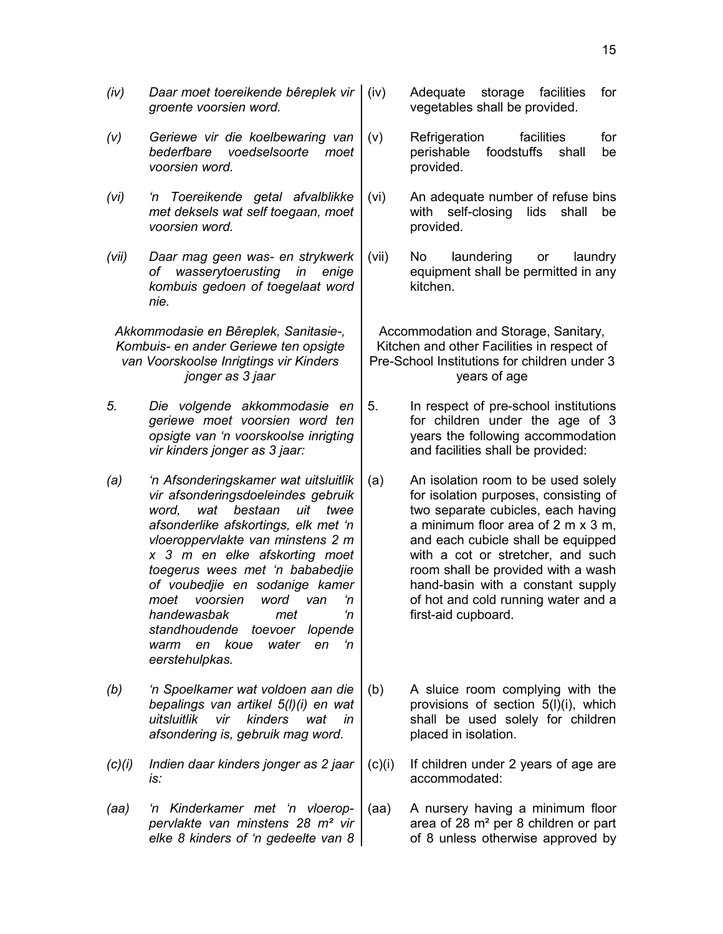15

- *(iv) Daar moet toereikende bêreplek vir groente voorsien word.*
- *(v) Geriewe vir die koelbewaring van bederfbare voedselsoorte moet voorsien word.*
- *(vi) 'n Toereikende getal afvalblikke met deksels wat self toegaan, moet voorsien word.*
- *(vii) Daar mag geen was- en strykwerk of wasserytoerusting in enige kombuis gedoen of toegelaat word nie.*

*Akkommodasie en Bêreplek, Sanitasie-, Kombuis- en ander Geriewe ten opsigte van Voorskoolse Inrigtings vir Kinders jonger as 3 jaar*

- *5. Die volgende akkommodasie en geriewe moet voorsien word ten opsigte van 'n voorskoolse inrigting vir kinders jonger as 3 jaar:*
- *(a) 'n Afsonderingskamer wat uitsluitlik vir afsonderingsdoeleindes gebruik word, wat bestaan uit twee afsonderlike afskortings, elk met 'n vloeroppervlakte van minstens 2 m x 3 m en elke afskorting moet toegerus wees met 'n bababedjie of voubedjie en sodanige kamer moet voorsien word van 'n handewasbak met 'n standhoudende toevoer lopende warm en koue water en 'n eerstehulpkas.*
- *(b) 'n Spoelkamer wat voldoen aan die bepalings van artikel 5(l)(i) en wat uitsluitlik vir kinders wat in afsondering is, gebruik mag word.*
- *(c)(i) Indien daar kinders jonger as 2 jaar is:*
- *(aa) 'n Kinderkamer met 'n vloeroppervlakte van minstens 28 m² vir elke 8 kinders of 'n gedeelte van 8*
- Adequate storage facilities for vegetables shall be provided.
- (v) Refrigeration facilities for perishable foodstuffs shall be provided.
- (vi) An adequate number of refuse bins with self-closing lids shall be provided.
- (vii) No laundering or laundry equipment shall be permitted in any kitchen.

Accommodation and Storage, Sanitary, Kitchen and other Facilities in respect of Pre-School Institutions for children under 3 years of age

- 5. In respect of pre-school institutions for children under the age of 3 years the following accommodation and facilities shall be provided:
- (a) An isolation room to be used solely for isolation purposes, consisting of two separate cubicles, each having a minimum floor area of 2 m x 3 m, and each cubicle shall be equipped with a cot or stretcher, and such room shall be provided with a wash hand-basin with a constant supply of hot and cold running water and a first-aid cupboard.
- (b) A sluice room complying with the provisions of section 5(l)(i), which shall be used solely for children placed in isolation.
- (c)(i) If children under 2 years of age are accommodated:
- (aa) A nursery having a minimum floor area of 28 m² per 8 children or part of 8 unless otherwise approved by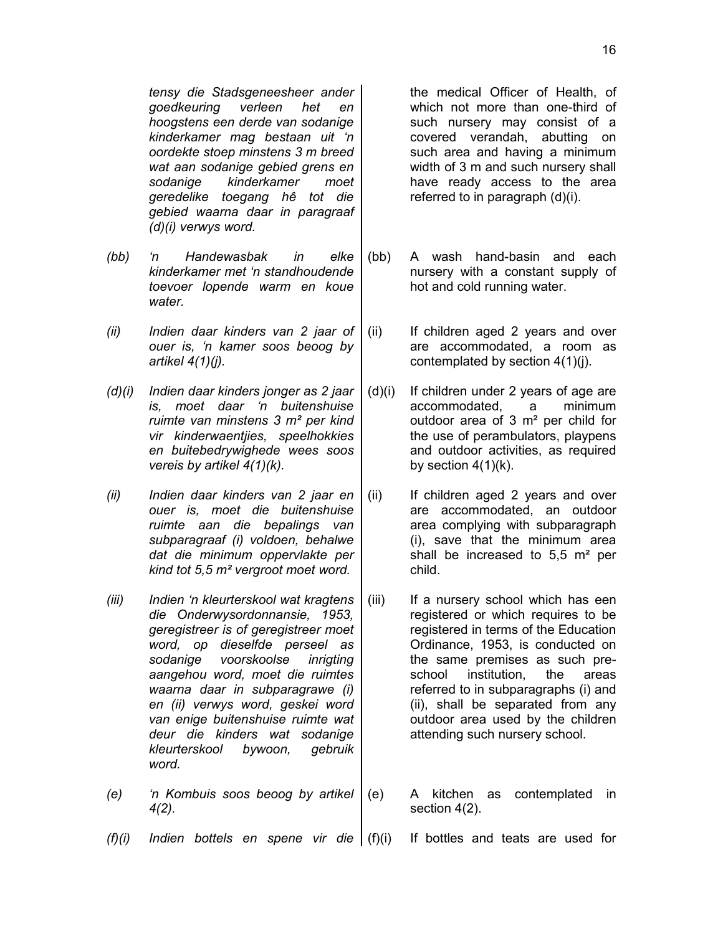*tensy die Stadsgeneesheer ander goedkeuring verleen het en hoogstens een derde van sodanige kinderkamer mag bestaan uit 'n oordekte stoep minstens 3 m breed wat aan sodanige gebied grens en sodanige kinderkamer moet geredelike toegang hê tot die gebied waarna daar in paragraaf (d)(i) verwys word.*

- *(bb) 'n Handewasbak in elke kinderkamer met 'n standhoudende toevoer lopende warm en koue water.*
- *(ii) Indien daar kinders van 2 jaar of ouer is, 'n kamer soos beoog by artikel 4(1)(j).*
- *(d)(i) Indien daar kinders jonger as 2 jaar is, moet daar 'n buitenshuise ruimte van minstens 3 m² per kind vir kinderwaentjies, speelhokkies en buitebedrywighede wees soos vereis by artikel 4(1)(k).*
- *(ii) Indien daar kinders van 2 jaar en ouer is, moet die buitenshuise ruimte aan die bepalings van subparagraaf (i) voldoen, behalwe dat die minimum oppervlakte per kind tot 5,5 m² vergroot moet word.*
- *(iii) Indien 'n kleurterskool wat kragtens die Onderwysordonnansie, 1953, geregistreer is of geregistreer moet word, op dieselfde perseel as sodanige voorskoolse inrigting aangehou word, moet die ruimtes waarna daar in subparagrawe (i) en (ii) verwys word, geskei word van enige buitenshuise ruimte wat deur die kinders wat sodanige kleurterskool bywoon, gebruik word.*
- *(e) 'n Kombuis soos beoog by artikel 4(2).*

the medical Officer of Health, of which not more than one-third of such nursery may consist of a covered verandah, abutting on such area and having a minimum width of 3 m and such nursery shall have ready access to the area referred to in paragraph (d)(i).

- (bb) A wash hand-basin and each nursery with a constant supply of hot and cold running water.
- (ii) If children aged 2 years and over are accommodated, a room as contemplated by section 4(1)(j).
- (d)(i) If children under 2 years of age are accommodated, a minimum outdoor area of 3 m² per child for the use of perambulators, playpens and outdoor activities, as required by section  $4(1)(k)$ .
- (ii) If children aged 2 years and over are accommodated, an outdoor area complying with subparagraph (i), save that the minimum area shall be increased to  $5.5 \text{ m}^2$  per child.
- (iii) If a nursery school which has een registered or which requires to be registered in terms of the Education Ordinance, 1953, is conducted on the same premises as such preschool institution, the areas referred to in subparagraphs (i) and (ii), shall be separated from any outdoor area used by the children attending such nursery school.
- (e) A kitchen as contemplated in section 4(2).
- *(f)(i) Indien bottels en spene vir die* (f)(i) If bottles and teats are used for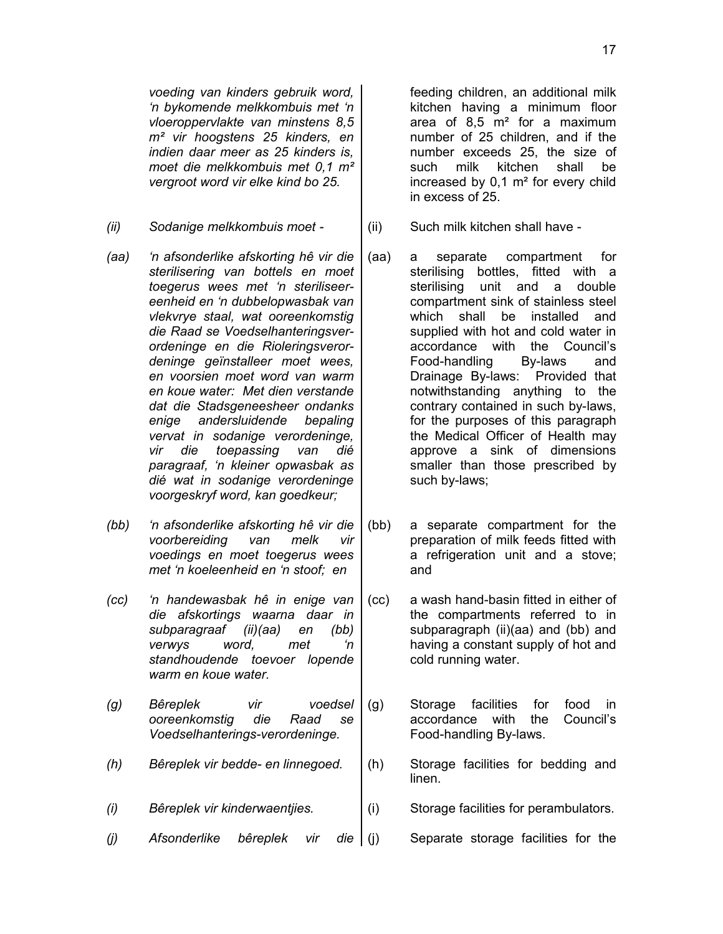*voeding van kinders gebruik word, 'n bykomende melkkombuis met 'n vloeroppervlakte van minstens 8,5 m² vir hoogstens 25 kinders, en indien daar meer as 25 kinders is, moet die melkkombuis met 0,1 m² vergroot word vir elke kind bo 25.*

- *(ii) Sodanige melkkombuis moet -* (ii) Such milk kitchen shall have -
- *(aa) 'n afsonderlike afskorting hê vir die sterilisering van bottels en moet toegerus wees met 'n steriliseereenheid en 'n dubbelopwasbak van vlekvrye staal, wat ooreenkomstig die Raad se Voedselhanteringsverordeninge en die Rioleringsverordeninge geïnstalleer moet wees, en voorsien moet word van warm en koue water: Met dien verstande dat die Stadsgeneesheer ondanks enige andersluidende bepaling vervat in sodanige verordeninge, vir die toepassing van dié paragraaf, 'n kleiner opwasbak as dié wat in sodanige verordeninge voorgeskryf word, kan goedkeur;*
- *(bb) 'n afsonderlike afskorting hê vir die voorbereiding van melk vir voedings en moet toegerus wees met 'n koeleenheid en 'n stoof; en*
- *(cc) 'n handewasbak hê in enige van die afskortings waarna daar in subparagraaf (ii)(aa) en (bb) verwys word, met 'n standhoudende toevoer lopende warm en koue water.*
- *(g) Bêreplek vir voedsel ooreenkomstig die Raad se Voedselhanterings-verordeninge.*
- *(h) Bêreplek vir bedde- en linnegoed.* (h) Storage facilities for bedding and
- 
- *(j) Afsonderlike bêreplek vir die* (j) Separate storage facilities for the

feeding children, an additional milk kitchen having a minimum floor area of  $8.5 \text{ m}^2$  for a maximum number of 25 children, and if the number exceeds 25, the size of such milk kitchen shall be increased by 0,1 m² for every child in excess of 25.

- 
- (aa) a separate compartment for sterilising bottles, fitted with a sterilising unit and a double compartment sink of stainless steel which shall be installed and supplied with hot and cold water in accordance with the Council's Food-handling By-laws and Drainage By-laws: Provided that notwithstanding anything to the contrary contained in such by-laws, for the purposes of this paragraph the Medical Officer of Health may approve a sink of dimensions smaller than those prescribed by such by-laws;
- (bb) a separate compartment for the preparation of milk feeds fitted with a refrigeration unit and a stove; and
- (cc) a wash hand-basin fitted in either of the compartments referred to in subparagraph (ii)(aa) and (bb) and having a constant supply of hot and cold running water.
- (g) Storage facilities for food in accordance with the Council's Food-handling By-laws.
	- linen.
- *(i) Bêreplek vir kinderwaentjies.* (i) Storage facilities for perambulators.
	-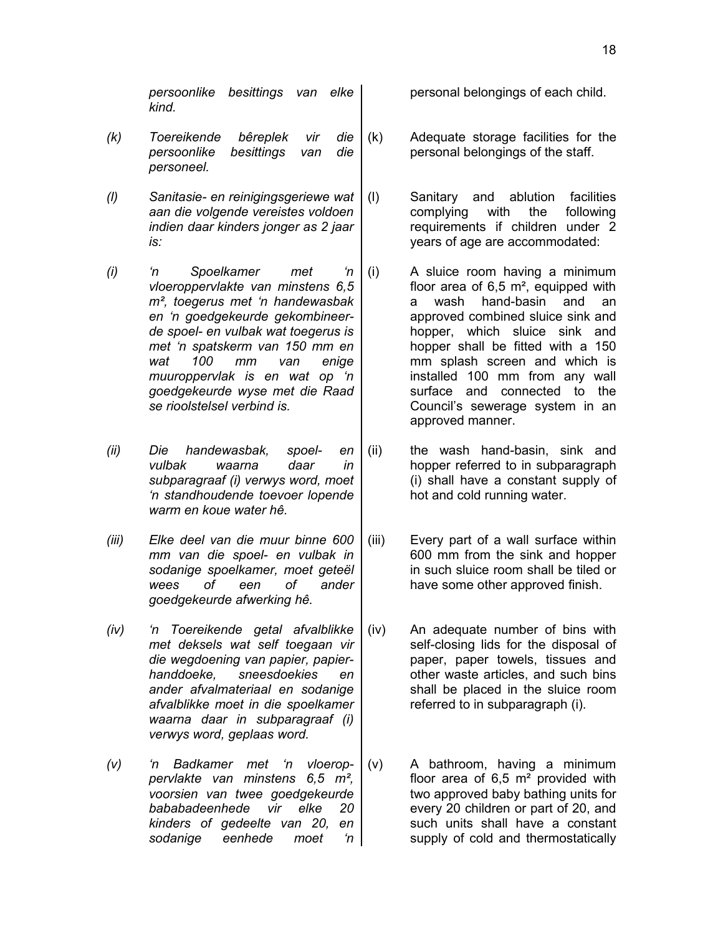*persoonlike besittings van elke kind.*

- *(k) Toereikende bêreplek vir die persoonlike besittings van die personeel.*
- *(l) Sanitasie- en reinigingsgeriewe wat aan die volgende vereistes voldoen indien daar kinders jonger as 2 jaar is:*
- *(i) 'n Spoelkamer met 'n vloeroppervlakte van minstens 6,5 m², toegerus met 'n handewasbak en 'n goedgekeurde gekombineerde spoel- en vulbak wat toegerus is met 'n spatskerm van 150 mm en wat 100 mm van enige muuroppervlak is en wat op 'n goedgekeurde wyse met die Raad se rioolstelsel verbind is.*
- *(ii) Die handewasbak, spoel- en vulbak waarna daar in subparagraaf (i) verwys word, moet 'n standhoudende toevoer lopende warm en koue water hê.*
- *(iii) Elke deel van die muur binne 600 mm van die spoel- en vulbak in sodanige spoelkamer, moet geteël wees of een of ander goedgekeurde afwerking hê.*
- *(iv) 'n Toereikende getal afvalblikke met deksels wat self toegaan vir die wegdoening van papier, papierhanddoeke, sneesdoekies en ander afvalmateriaal en sodanige afvalblikke moet in die spoelkamer waarna daar in subparagraaf (i) verwys word, geplaas word.*
- *(v) 'n Badkamer met 'n vloeroppervlakte van minstens 6,5 m², voorsien van twee goedgekeurde bababadeenhede vir elke 20 kinders of gedeelte van 20, en sodanige eenhede moet 'n*

personal belongings of each child.

- (k) Adequate storage facilities for the personal belongings of the staff.
	- (l) Sanitary and ablution facilities complying with the following requirements if children under 2 years of age are accommodated:
	- (i) A sluice room having a minimum floor area of  $6.5 \text{ m}^2$ , equipped with a wash hand-basin and an approved combined sluice sink and hopper, which sluice sink and hopper shall be fitted with a 150 mm splash screen and which is installed 100 mm from any wall surface and connected to the Council's sewerage system in an approved manner.
	- (ii) the wash hand-basin, sink and hopper referred to in subparagraph (i) shall have a constant supply of hot and cold running water.
	- (iii) Every part of a wall surface within 600 mm from the sink and hopper in such sluice room shall be tiled or have some other approved finish.
	- (iv) An adequate number of bins with self-closing lids for the disposal of paper, paper towels, tissues and other waste articles, and such bins shall be placed in the sluice room referred to in subparagraph (i).
	- (v) A bathroom, having a minimum floor area of  $6.5 \text{ m}^2$  provided with two approved baby bathing units for every 20 children or part of 20, and such units shall have a constant supply of cold and thermostatically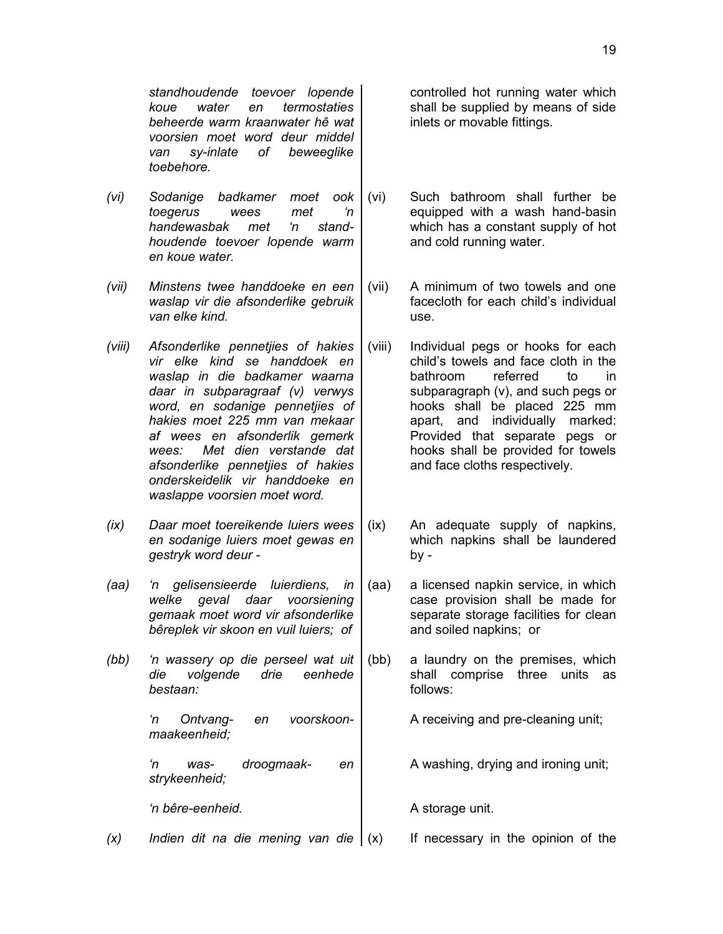19

*standhoudende toevoer lopende koue water en termostaties beheerde warm kraanwater hê wat voorsien moet word deur middel van sy-inlate of beweeglike toebehore.*

- *(vi) Sodanige badkamer moet ook toegerus wees met 'n handewasbak met 'n standhoudende toevoer lopende warm en koue water.*
- *(vii) Minstens twee handdoeke en een waslap vir die afsonderlike gebruik van elke kind.*
- *(viii) Afsonderlike pennetjies of hakies vir elke kind se handdoek en waslap in die badkamer waarna daar in subparagraaf (v) verwys word, en sodanige pennetjies of hakies moet 225 mm van mekaar af wees en afsonderlik gemerk wees: Met dien verstande dat afsonderlike pennetjies of hakies onderskeidelik vir handdoeke en waslappe voorsien moet word.*
- *(ix) Daar moet toereikende luiers wees en sodanige luiers moet gewas en gestryk word deur -*
- *(aa) 'n gelisensieerde luierdiens, in welke geval daar voorsiening gemaak moet word vir afsonderlike bêreplek vir skoon en vuil luiers; of*
- *(bb) 'n wassery op die perseel wat uit die volgende drie eenhede bestaan:*

*'n Ontvang- en voorskoonmaakeenheid;*

*'n was- droogmaak- en strykeenheid;*

*'n bêre-eenheid.* A storage unit.

*(x) Indien dit na die mening van die* (x) If necessary in the opinion of the

controlled hot running water which shall be supplied by means of side inlets or movable fittings.

- (vi) Such bathroom shall further be equipped with a wash hand-basin which has a constant supply of hot and cold running water.
- (vii) A minimum of two towels and one facecloth for each child's individual use.
- (viii) Individual pegs or hooks for each child's towels and face cloth in the bathroom referred to in subparagraph (v), and such pegs or hooks shall be placed 225 mm apart, and individually marked: Provided that separate pegs or hooks shall be provided for towels and face cloths respectively.
- (ix) An adequate supply of napkins, which napkins shall be laundered by -
- (aa) a licensed napkin service, in which case provision shall be made for separate storage facilities for clean and soiled napkins; or
- (bb) a laundry on the premises, which shall comprise three units as follows:

A receiving and pre-cleaning unit;

A washing, drying and ironing unit;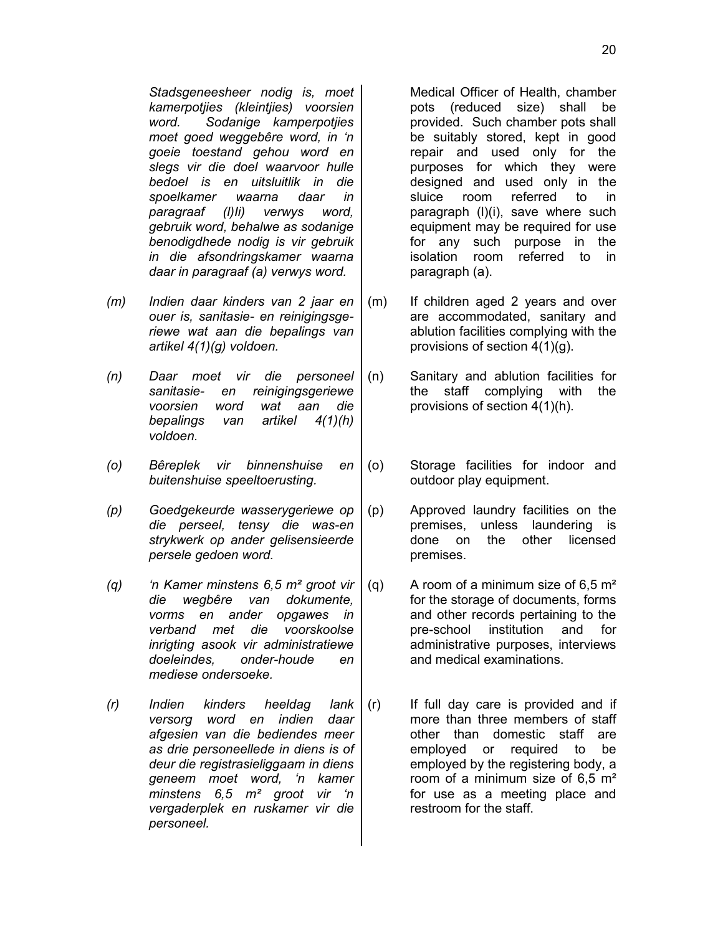*Stadsgeneesheer nodig is, moet kamerpotjies (kleintjies) voorsien word. Sodanige kamperpotjies moet goed weggebêre word, in 'n goeie toestand gehou word en slegs vir die doel waarvoor hulle bedoel is en uitsluitlik in die spoelkamer waarna daar in paragraaf (l)Ii) verwys word, gebruik word, behalwe as sodanige benodigdhede nodig is vir gebruik in die afsondringskamer waarna daar in paragraaf (a) verwys word.*

- *(m) Indien daar kinders van 2 jaar en ouer is, sanitasie- en reinigingsgeriewe wat aan die bepalings van artikel 4(1)(g) voldoen.*
- *(n) Daar moet vir die personeel sanitasie- en reinigingsgeriewe voorsien word wat aan die bepalings van artikel 4(1)(h) voldoen.*
- *(o) Bêreplek vir binnenshuise en buitenshuise speeltoerusting.*
- *(p) Goedgekeurde wasserygeriewe op die perseel, tensy die was-en strykwerk op ander gelisensieerde persele gedoen word.*
- *(q) 'n Kamer minstens 6,5 m² groot vir die wegbêre van dokumente, vorms en ander opgawes in verband met die voorskoolse inrigting asook vir administratiewe doeleindes, onder-houde en mediese ondersoeke.*
- *(r) Indien kinders heeldag lank versorg word en indien daar afgesien van die bediendes meer as drie personeellede in diens is of deur die registrasieliggaam in diens geneem moet word, 'n kamer minstens 6,5 m² groot vir 'n vergaderplek en ruskamer vir die personeel.*

Medical Officer of Health, chamber pots (reduced size) shall be provided. Such chamber pots shall be suitably stored, kept in good repair and used only for the purposes for which they were designed and used only in the sluice room referred to in paragraph (l)(i), save where such equipment may be required for use for any such purpose in the isolation room referred to in paragraph (a).

- (m) If children aged 2 years and over are accommodated, sanitary and ablution facilities complying with the provisions of section 4(1)(g).
- (n) Sanitary and ablution facilities for the staff complying with the provisions of section 4(1)(h).
- (o) Storage facilities for indoor and outdoor play equipment.
- (p) Approved laundry facilities on the premises, unless laundering is done on the other licensed premises.
- (g) A room of a minimum size of  $6.5 \text{ m}^2$ for the storage of documents, forms and other records pertaining to the pre-school institution and for administrative purposes, interviews and medical examinations.
- (r) If full day care is provided and if more than three members of staff other than domestic staff are employed or required to be employed by the registering body, a room of a minimum size of 6,5 m² for use as a meeting place and restroom for the staff.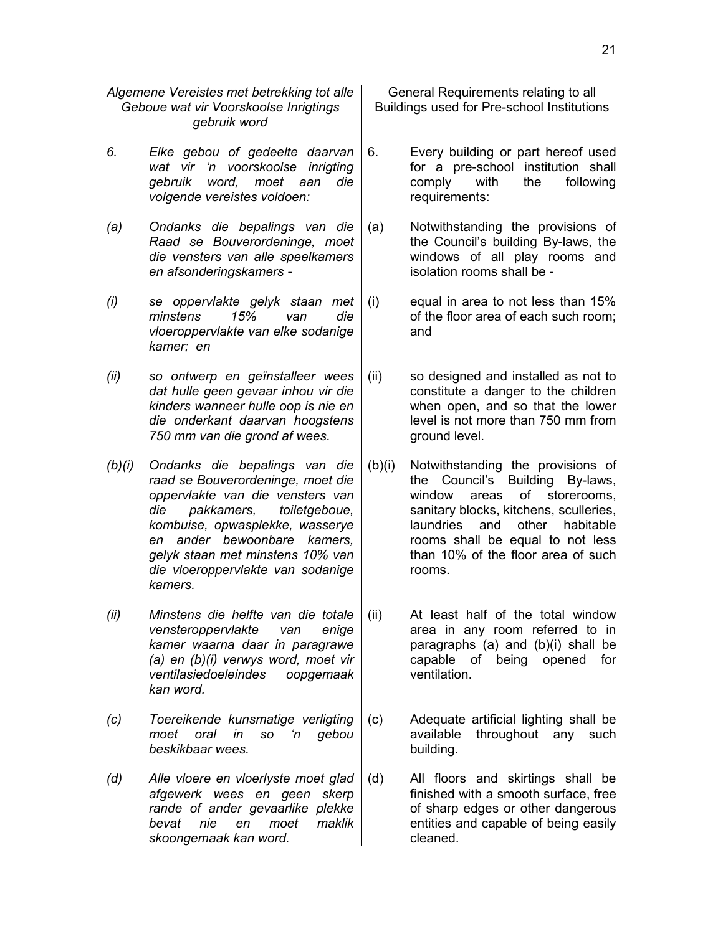*Algemene Vereistes met betrekking tot alle Geboue wat vir Voorskoolse Inrigtings gebruik word*

- *6. Elke gebou of gedeelte daarvan wat vir 'n voorskoolse inrigting gebruik word, moet aan die volgende vereistes voldoen:*
- *(a) Ondanks die bepalings van die Raad se Bouverordeninge, moet die vensters van alle speelkamers en afsonderingskamers -*
- *(i) se oppervlakte gelyk staan met minstens 15% van die vloeroppervlakte van elke sodanige kamer; en*
- *(ii) so ontwerp en geïnstalleer wees dat hulle geen gevaar inhou vir die kinders wanneer hulle oop is nie en die onderkant daarvan hoogstens 750 mm van die grond af wees.*
- *(b)(i) Ondanks die bepalings van die raad se Bouverordeninge, moet die oppervlakte van die vensters van die pakkamers, toiletgeboue, kombuise, opwasplekke, wasserye en ander bewoonbare kamers, gelyk staan met minstens 10% van die vloeroppervlakte van sodanige kamers.*
- *(ii) Minstens die helfte van die totale vensteroppervlakte van enige kamer waarna daar in paragrawe (a) en (b)(i) verwys word, moet vir ventilasiedoeleindes oopgemaak kan word.*
- *(c) Toereikende kunsmatige verligting moet oral in so 'n gebou beskikbaar wees.*
- *(d) Alle vloere en vloerlyste moet glad afgewerk wees en geen skerp rande of ander gevaarlike plekke bevat nie en moet maklik skoongemaak kan word.*

General Requirements relating to all Buildings used for Pre-school Institutions

- 6. Every building or part hereof used for a pre-school institution shall comply with the following requirements:
- (a) Notwithstanding the provisions of the Council's building By-laws, the windows of all play rooms and isolation rooms shall be -
- (i) equal in area to not less than 15% of the floor area of each such room; and
- (ii) so designed and installed as not to constitute a danger to the children when open, and so that the lower level is not more than 750 mm from ground level.
- (b)(i) Notwithstanding the provisions of the Council's Building By-laws, window areas of storerooms, sanitary blocks, kitchens, sculleries, laundries and other habitable rooms shall be equal to not less than 10% of the floor area of such rooms.
- (ii) At least half of the total window area in any room referred to in paragraphs (a) and (b)(i) shall be capable of being opened for ventilation.
- (c) Adequate artificial lighting shall be available throughout any such building.
- (d) All floors and skirtings shall be finished with a smooth surface, free of sharp edges or other dangerous entities and capable of being easily cleaned.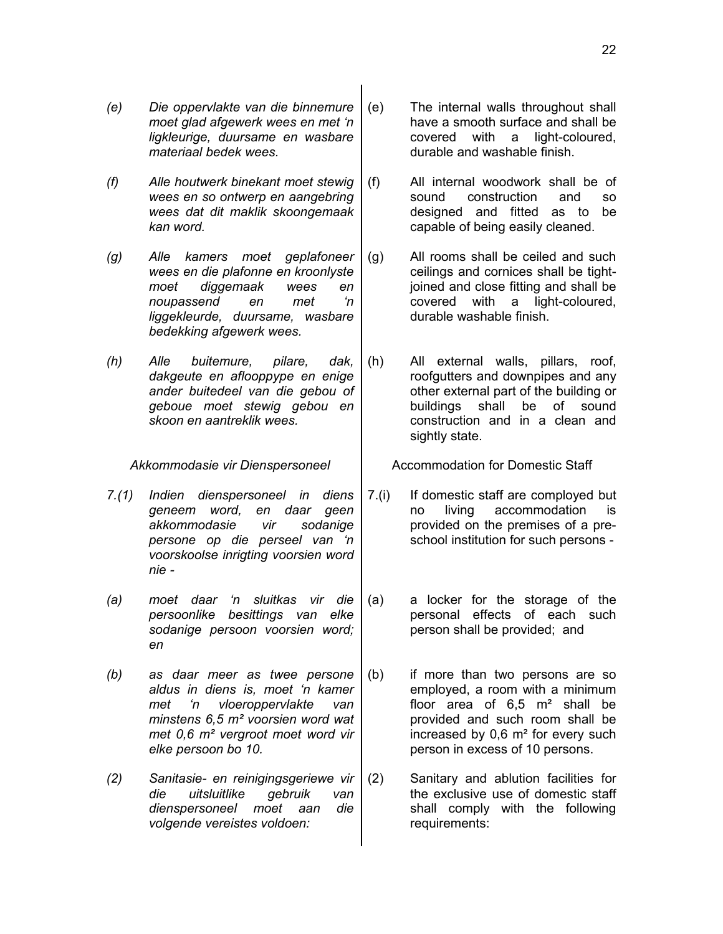- *(e) Die oppervlakte van die binnemure moet glad afgewerk wees en met 'n ligkleurige, duursame en wasbare materiaal bedek wees.*
- *(f) Alle houtwerk binekant moet stewig wees en so ontwerp en aangebring wees dat dit maklik skoongemaak kan word.*
- *(g) Alle kamers moet geplafoneer wees en die plafonne en kroonlyste moet diggemaak wees en noupassend en met 'n liggekleurde, duursame, wasbare bedekking afgewerk wees.*
- *(h) Alle buitemure, pilare, dak, dakgeute en aflooppype en enige ander buitedeel van die gebou of geboue moet stewig gebou en skoon en aantreklik wees.*

- *7.(1) Indien dienspersoneel in diens geneem word, en daar geen akkommodasie vir sodanige persone op die perseel van 'n voorskoolse inrigting voorsien word nie -*
- *(a) moet daar 'n sluitkas vir die persoonlike besittings van elke sodanige persoon voorsien word; en*
- *(b) as daar meer as twee persone aldus in diens is, moet 'n kamer met 'n vloeroppervlakte van minstens 6,5 m² voorsien word wat met 0,6 m² vergroot moet word vir elke persoon bo 10.*
- *(2) Sanitasie- en reinigingsgeriewe vir die uitsluitlike gebruik van dienspersoneel moet aan die volgende vereistes voldoen:*
- (e) The internal walls throughout shall have a smooth surface and shall be covered with a light-coloured, durable and washable finish.
- (f) All internal woodwork shall be of sound construction and so designed and fitted as to be capable of being easily cleaned.
- (g) All rooms shall be ceiled and such ceilings and cornices shall be tightjoined and close fitting and shall be covered with a light-coloured, durable washable finish.
- (h) All external walls, pillars, roof, roofgutters and downpipes and any other external part of the building or buildings shall be of sound construction and in a clean and sightly state.

*Akkommodasie vir Dienspersoneel* Accommodation for Domestic Staff

- 7.(i) If domestic staff are comployed but no living accommodation provided on the premises of a preschool institution for such persons -
- (a) a locker for the storage of the personal effects of each such person shall be provided; and
- (b) if more than two persons are so employed, a room with a minimum floor area of  $6.5 \text{ m}^2$  shall be provided and such room shall be increased by 0,6 m² for every such person in excess of 10 persons.
- (2) Sanitary and ablution facilities for the exclusive use of domestic staff shall comply with the following requirements: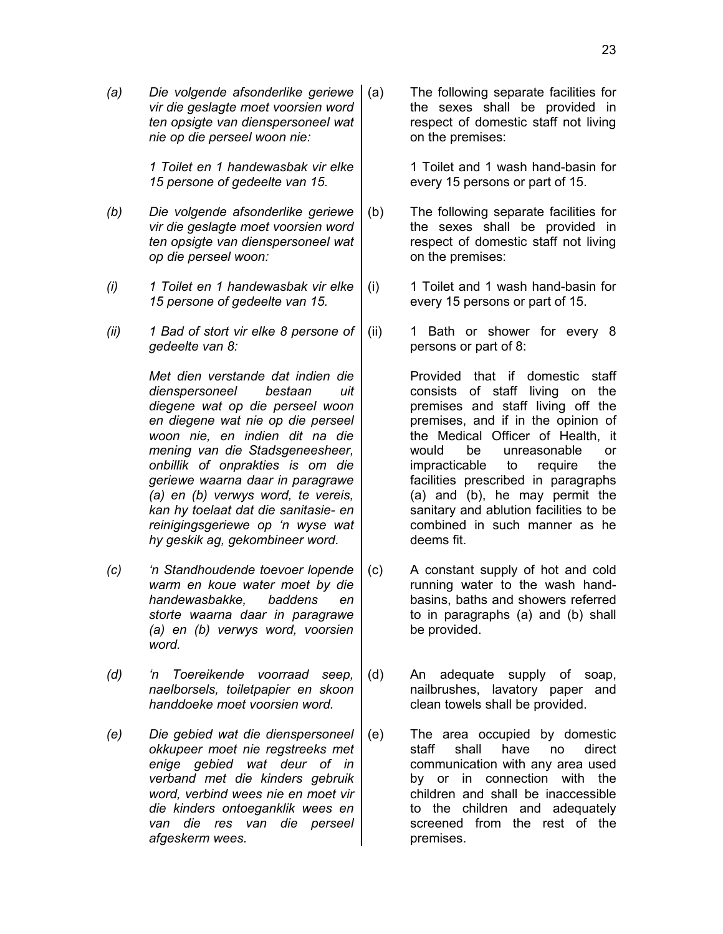*(a) Die volgende afsonderlike geriewe vir die geslagte moet voorsien word ten opsigte van dienspersoneel wat nie op die perseel woon nie:*

> *1 Toilet en 1 handewasbak vir elke 15 persone of gedeelte van 15.*

- *(b) Die volgende afsonderlike geriewe vir die geslagte moet voorsien word ten opsigte van dienspersoneel wat op die perseel woon:*
- *(i) 1 Toilet en 1 handewasbak vir elke 15 persone of gedeelte van 15.*
- *(ii) 1 Bad of stort vir elke 8 persone of gedeelte van 8:*

*Met dien verstande dat indien die dienspersoneel bestaan uit diegene wat op die perseel woon en diegene wat nie op die perseel woon nie, en indien dit na die mening van die Stadsgeneesheer, onbillik of onprakties is om die geriewe waarna daar in paragrawe (a) en (b) verwys word, te vereis, kan hy toelaat dat die sanitasie- en reinigingsgeriewe op 'n wyse wat hy geskik ag, gekombineer word.*

- *(c) 'n Standhoudende toevoer lopende warm en koue water moet by die handewasbakke, baddens en storte waarna daar in paragrawe (a) en (b) verwys word, voorsien word.*
- *(d) 'n Toereikende voorraad seep, naelborsels, toiletpapier en skoon handdoeke moet voorsien word.*
- *(e) Die gebied wat die dienspersoneel okkupeer moet nie regstreeks met enige gebied wat deur of in verband met die kinders gebruik word, verbind wees nie en moet vir die kinders ontoeganklik wees en van die res van die perseel afgeskerm wees.*

The following separate facilities for the sexes shall be provided in respect of domestic staff not living on the premises:

> 1 Toilet and 1 wash hand-basin for every 15 persons or part of 15.

- (b) The following separate facilities for the sexes shall be provided in respect of domestic staff not living on the premises:
- (i) 1 Toilet and 1 wash hand-basin for every 15 persons or part of 15.
- (ii) 1 Bath or shower for every 8 persons or part of 8:

Provided that if domestic staff consists of staff living on the premises and staff living off the premises, and if in the opinion of the Medical Officer of Health, it would be unreasonable or impracticable to require the facilities prescribed in paragraphs (a) and (b), he may permit the sanitary and ablution facilities to be combined in such manner as he deems fit.

- (c) A constant supply of hot and cold running water to the wash handbasins, baths and showers referred to in paragraphs (a) and (b) shall be provided.
- (d) An adequate supply of soap, nailbrushes, lavatory paper and clean towels shall be provided.
- (e) The area occupied by domestic staff shall have no direct communication with any area used by or in connection with the children and shall be inaccessible to the children and adequately screened from the rest of the premises.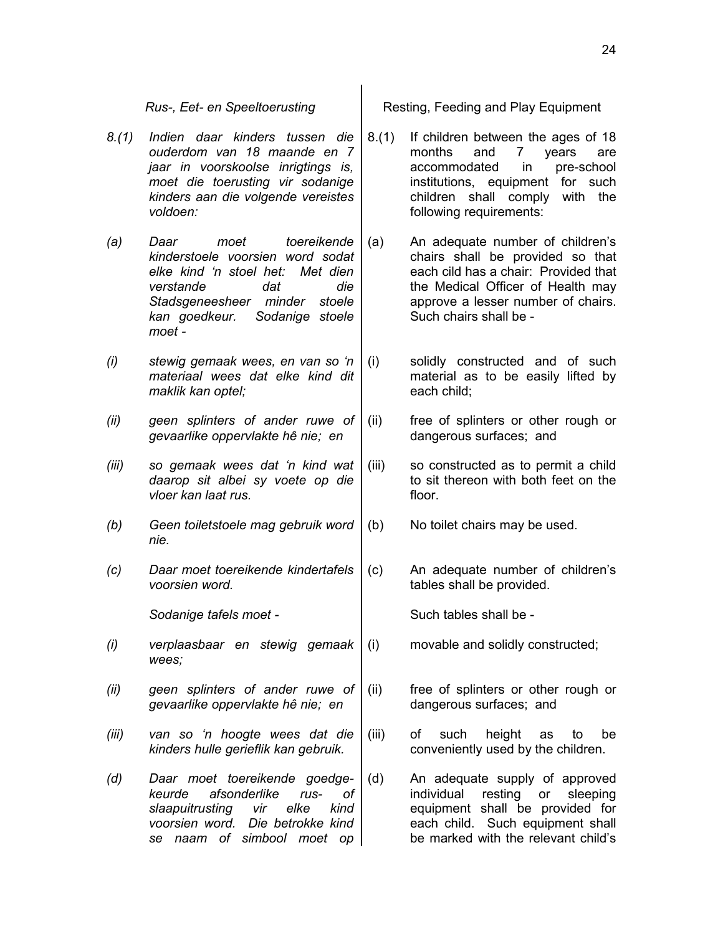- *8.(1) Indien daar kinders tussen die ouderdom van 18 maande en 7 jaar in voorskoolse inrigtings is, moet die toerusting vir sodanige kinders aan die volgende vereistes voldoen:*
- *(a) Daar moet toereikende kinderstoele voorsien word sodat elke kind 'n stoel het: Met dien verstande dat die Stadsgeneesheer minder stoele kan goedkeur. Sodanige stoele moet -*
- *(i) stewig gemaak wees, en van so 'n materiaal wees dat elke kind dit maklik kan optel;*
- *(ii) geen splinters of ander ruwe of gevaarlike oppervlakte hê nie; en*
- *(iii) so gemaak wees dat 'n kind wat daarop sit albei sy voete op die vloer kan laat rus.*
- *(b) Geen toiletstoele mag gebruik word nie.*
- *(c) Daar moet toereikende kindertafels voorsien word.*

**Sodanige tafels moet -** The Such tables shall be -

- *(i) verplaasbaar en stewig gemaak wees;*
- *(ii) geen splinters of ander ruwe of gevaarlike oppervlakte hê nie; en*
- *(iii) van so 'n hoogte wees dat die kinders hulle gerieflik kan gebruik.*
- *(d) Daar moet toereikende goedgekeurde afsonderlike rus- of slaapuitrusting vir elke kind voorsien word. Die betrokke kind se naam of simbool moet op*

*Rus-, Eet- en Speeltoerusting* | Resting, Feeding and Play Equipment

- 8.(1) If children between the ages of 18 months and 7 years are accommodated in pre-school institutions, equipment for such children shall comply with the following requirements:
- (a) An adequate number of children's chairs shall be provided so that each cild has a chair: Provided that the Medical Officer of Health may approve a lesser number of chairs. Such chairs shall be -
- (i) solidly constructed and of such material as to be easily lifted by each child;
- (ii) free of splinters or other rough or dangerous surfaces; and
- (iii) so constructed as to permit a child to sit thereon with both feet on the floor.
- (b) No toilet chairs may be used.
- (c) An adequate number of children's tables shall be provided.

(i) movable and solidly constructed;

- (ii) free of splinters or other rough or dangerous surfaces; and
- (iii) of such height as to be conveniently used by the children.
- (d) An adequate supply of approved individual resting or sleeping equipment shall be provided for each child. Such equipment shall be marked with the relevant child's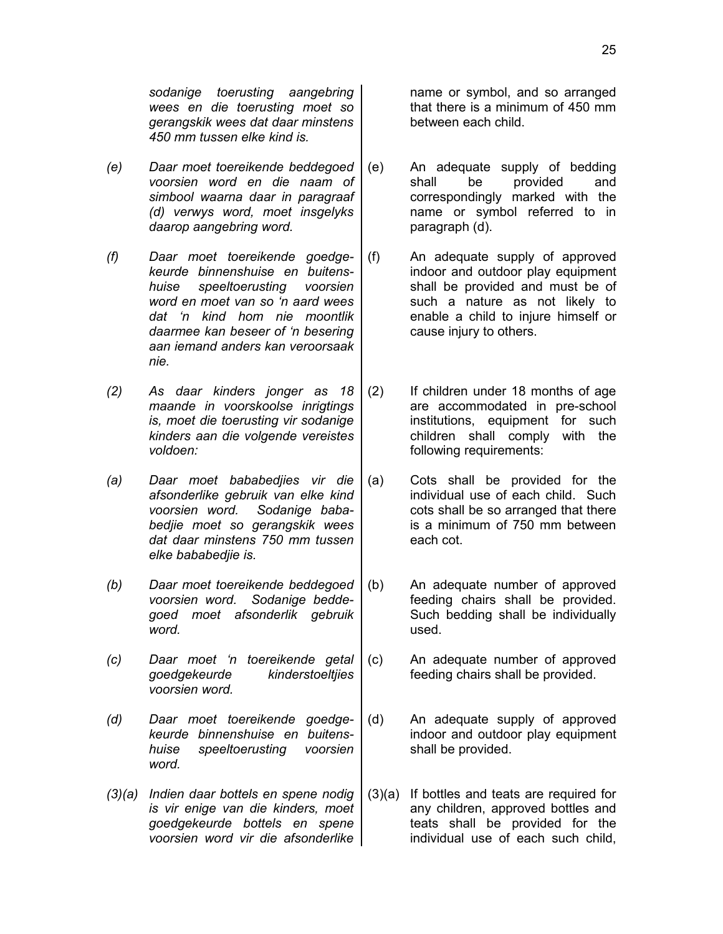*sodanige toerusting aangebring wees en die toerusting moet so gerangskik wees dat daar minstens 450 mm tussen elke kind is.*

- *(e) Daar moet toereikende beddegoed voorsien word en die naam of simbool waarna daar in paragraaf (d) verwys word, moet insgelyks daarop aangebring word.*
- *(f) Daar moet toereikende goedgekeurde binnenshuise en buitenshuise speeltoerusting voorsien word en moet van so 'n aard wees dat 'n kind hom nie moontlik daarmee kan beseer of 'n besering aan iemand anders kan veroorsaak nie.*
- *(2) As daar kinders jonger as 18 maande in voorskoolse inrigtings is, moet die toerusting vir sodanige kinders aan die volgende vereistes voldoen:*
- *(a) Daar moet bababedjies vir die afsonderlike gebruik van elke kind voorsien word. Sodanige bababedjie moet so gerangskik wees dat daar minstens 750 mm tussen elke bababedjie is.*
- *(b) Daar moet toereikende beddegoed voorsien word. Sodanige beddegoed moet afsonderlik gebruik word.*
- *(c) Daar moet 'n toereikende getal goedgekeurde kinderstoeltjies voorsien word.*
- *(d) Daar moet toereikende goedgekeurde binnenshuise en buitenshuise speeltoerusting voorsien word.*
- *(3)(a) Indien daar bottels en spene nodig is vir enige van die kinders, moet goedgekeurde bottels en spene voorsien word vir die afsonderlike*

name or symbol, and so arranged that there is a minimum of 450 mm between each child.

- (e) An adequate supply of bedding shall be provided and correspondingly marked with the name or symbol referred to in paragraph (d).
- (f) An adequate supply of approved indoor and outdoor play equipment shall be provided and must be of such a nature as not likely to enable a child to injure himself or cause injury to others.
- (2) If children under 18 months of age are accommodated in pre-school institutions, equipment for such children shall comply with the following requirements:
- (a) Cots shall be provided for the individual use of each child. Such cots shall be so arranged that there is a minimum of 750 mm between each cot.
- (b) An adequate number of approved feeding chairs shall be provided. Such bedding shall be individually used.
- (c) An adequate number of approved feeding chairs shall be provided.
- (d) An adequate supply of approved indoor and outdoor play equipment shall be provided.
- (3)(a) If bottles and teats are required for any children, approved bottles and teats shall be provided for the individual use of each such child,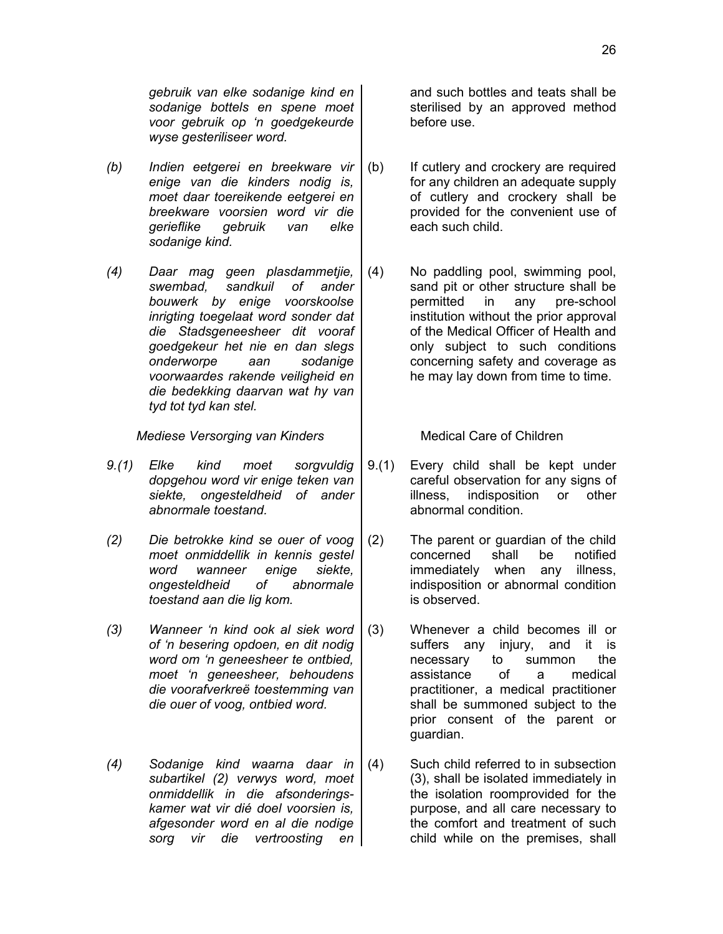*gebruik van elke sodanige kind en sodanige bottels en spene moet voor gebruik op 'n goedgekeurde wyse gesteriliseer word.*

- *(b) Indien eetgerei en breekware vir enige van die kinders nodig is, moet daar toereikende eetgerei en breekware voorsien word vir die gerieflike gebruik van elke sodanige kind.*
- *(4) Daar mag geen plasdammetjie, swembad, sandkuil of ander bouwerk by enige voorskoolse inrigting toegelaat word sonder dat die Stadsgeneesheer dit vooraf goedgekeur het nie en dan slegs onderworpe aan sodanige voorwaardes rakende veiligheid en die bedekking daarvan wat hy van tyd tot tyd kan stel.*

*Mediese Versorging van Kinders* **Medical Care of Children** 

- *9.(1) Elke kind moet sorgvuldig dopgehou word vir enige teken van siekte, ongesteldheid of ander abnormale toestand.*
- *(2) Die betrokke kind se ouer of voog moet onmiddellik in kennis gestel word wanneer enige siekte, ongesteldheid of abnormale toestand aan die lig kom.*
- *(3) Wanneer 'n kind ook al siek word of 'n besering opdoen, en dit nodig word om 'n geneesheer te ontbied, moet 'n geneesheer, behoudens die voorafverkreë toestemming van die ouer of voog, ontbied word.*
- *(4) Sodanige kind waarna daar in subartikel (2) verwys word, moet onmiddellik in die afsonderingskamer wat vir dié doel voorsien is, afgesonder word en al die nodige sorg vir die vertroosting en*

and such bottles and teats shall be sterilised by an approved method before use.

- (b) If cutlery and crockery are required for any children an adequate supply of cutlery and crockery shall be provided for the convenient use of each such child.
- (4) No paddling pool, swimming pool, sand pit or other structure shall be permitted in any pre-school institution without the prior approval of the Medical Officer of Health and only subject to such conditions concerning safety and coverage as he may lay down from time to time.

- 9.(1) Every child shall be kept under careful observation for any signs of illness, indisposition or other abnormal condition.
- (2) The parent or guardian of the child concerned shall be notified immediately when any illness, indisposition or abnormal condition is observed.
- (3) Whenever a child becomes ill or suffers any injury, and it is necessary to summon the assistance of a medical practitioner, a medical practitioner shall be summoned subject to the prior consent of the parent or guardian.
- (4) Such child referred to in subsection (3), shall be isolated immediately in the isolation roomprovided for the purpose, and all care necessary to the comfort and treatment of such child while on the premises, shall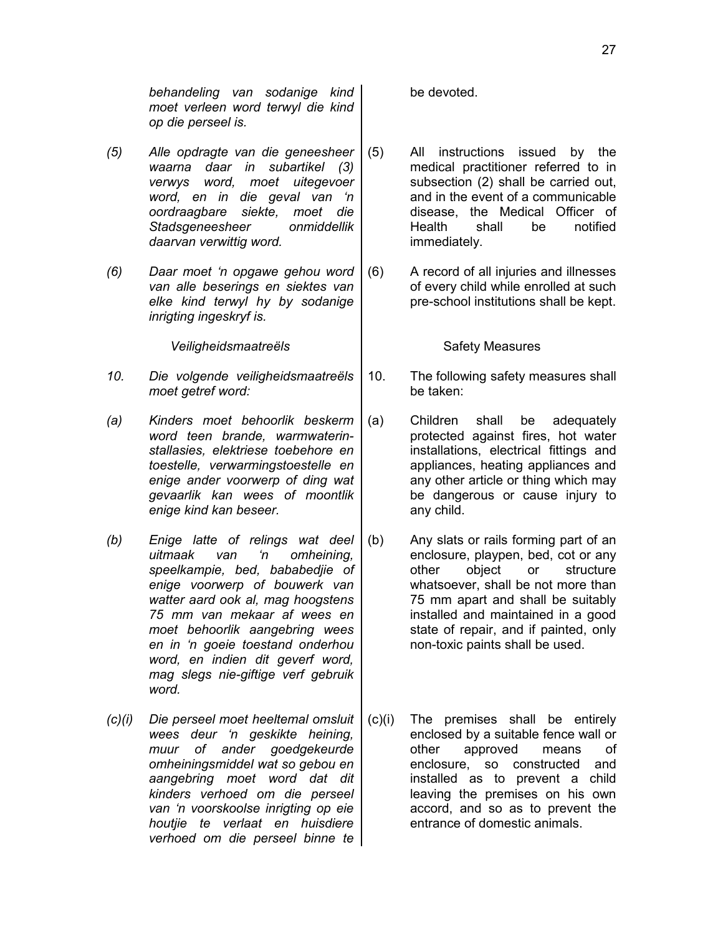*behandeling van sodanige kind moet verleen word terwyl die kind op die perseel is.*

- *(5) Alle opdragte van die geneesheer waarna daar in subartikel (3) verwys word, moet uitegevoer word, en in die geval van 'n oordraagbare siekte, moet die Stadsgeneesheer onmiddellik daarvan verwittig word.*
- *(6) Daar moet 'n opgawe gehou word van alle beserings en siektes van elke kind terwyl hy by sodanige inrigting ingeskryf is.*

Veiligheidsmaatreëls **Safety Measures** 

- *10. Die volgende veiligheidsmaatreëls moet getref word:*
- *(a) Kinders moet behoorlik beskerm word teen brande, warmwaterinstallasies, elektriese toebehore en toestelle, verwarmingstoestelle en enige ander voorwerp of ding wat gevaarlik kan wees of moontlik enige kind kan beseer.*
- *(b) Enige latte of relings wat deel uitmaak van 'n omheining, speelkampie, bed, bababedjie of enige voorwerp of bouwerk van watter aard ook al, mag hoogstens 75 mm van mekaar af wees en moet behoorlik aangebring wees en in 'n goeie toestand onderhou word, en indien dit geverf word, mag slegs nie-giftige verf gebruik word.*
- *(c)(i) Die perseel moet heeltemal omsluit wees deur 'n geskikte heining, muur of ander goedgekeurde omheiningsmiddel wat so gebou en aangebring moet word dat dit kinders verhoed om die perseel van 'n voorskoolse inrigting op eie houtjie te verlaat en huisdiere verhoed om die perseel binne te*

be devoted.

- (5) All instructions issued by the medical practitioner referred to in subsection (2) shall be carried out, and in the event of a communicable disease, the Medical Officer of Health shall be notified immediately.
- (6) A record of all injuries and illnesses of every child while enrolled at such pre-school institutions shall be kept.

- 10. The following safety measures shall be taken:
- (a) Children shall be adequately protected against fires, hot water installations, electrical fittings and appliances, heating appliances and any other article or thing which may be dangerous or cause injury to any child.
- (b) Any slats or rails forming part of an enclosure, playpen, bed, cot or any other object or structure whatsoever, shall be not more than 75 mm apart and shall be suitably installed and maintained in a good state of repair, and if painted, only non-toxic paints shall be used.
- (c)(i) The premises shall be entirely enclosed by a suitable fence wall or other approved means of enclosure, so constructed and installed as to prevent a child leaving the premises on his own accord, and so as to prevent the entrance of domestic animals.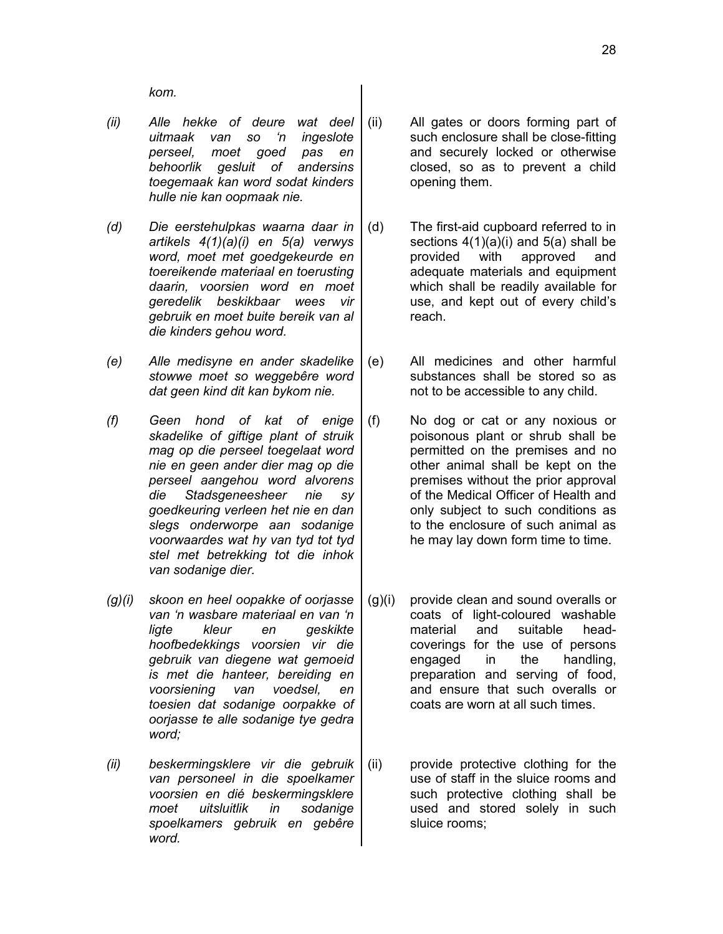*kom.*

- *(ii) Alle hekke of deure wat deel uitmaak van so 'n ingeslote perseel, moet goed pas en behoorlik gesluit of andersins toegemaak kan word sodat kinders hulle nie kan oopmaak nie.*
- *(d) Die eerstehulpkas waarna daar in artikels 4(1)(a)(i) en 5(a) verwys word, moet met goedgekeurde en toereikende materiaal en toerusting daarin, voorsien word en moet geredelik beskikbaar wees vir gebruik en moet buite bereik van al die kinders gehou word.*
- *(e) Alle medisyne en ander skadelike stowwe moet so weggebêre word dat geen kind dit kan bykom nie.*
- *(f) Geen hond of kat of enige skadelike of giftige plant of struik mag op die perseel toegelaat word nie en geen ander dier mag op die perseel aangehou word alvorens die Stadsgeneesheer nie sy goedkeuring verleen het nie en dan slegs onderworpe aan sodanige voorwaardes wat hy van tyd tot tyd stel met betrekking tot die inhok van sodanige dier.*
- *(g)(i) skoon en heel oopakke of oorjasse van 'n wasbare materiaal en van 'n ligte kleur en geskikte hoofbedekkings voorsien vir die gebruik van diegene wat gemoeid is met die hanteer, bereiding en voorsiening van voedsel, en toesien dat sodanige oorpakke of oorjasse te alle sodanige tye gedra word;*
- *(ii) beskermingsklere vir die gebruik van personeel in die spoelkamer voorsien en dié beskermingsklere moet uitsluitlik in sodanige spoelkamers gebruik en gebêre word.*
- (ii) All gates or doors forming part of such enclosure shall be close-fitting and securely locked or otherwise closed, so as to prevent a child opening them.
- (d) The first-aid cupboard referred to in sections  $4(1)(a)(i)$  and  $5(a)$  shall be provided with approved and adequate materials and equipment which shall be readily available for use, and kept out of every child's reach.
- (e) All medicines and other harmful substances shall be stored so as not to be accessible to any child.
- (f) No dog or cat or any noxious or poisonous plant or shrub shall be permitted on the premises and no other animal shall be kept on the premises without the prior approval of the Medical Officer of Health and only subject to such conditions as to the enclosure of such animal as he may lay down form time to time.
- (g)(i) provide clean and sound overalls or coats of light-coloured washable material and suitable headcoverings for the use of persons engaged in the handling, preparation and serving of food, and ensure that such overalls or coats are worn at all such times.
- (ii) provide protective clothing for the use of staff in the sluice rooms and such protective clothing shall be used and stored solely in such sluice rooms;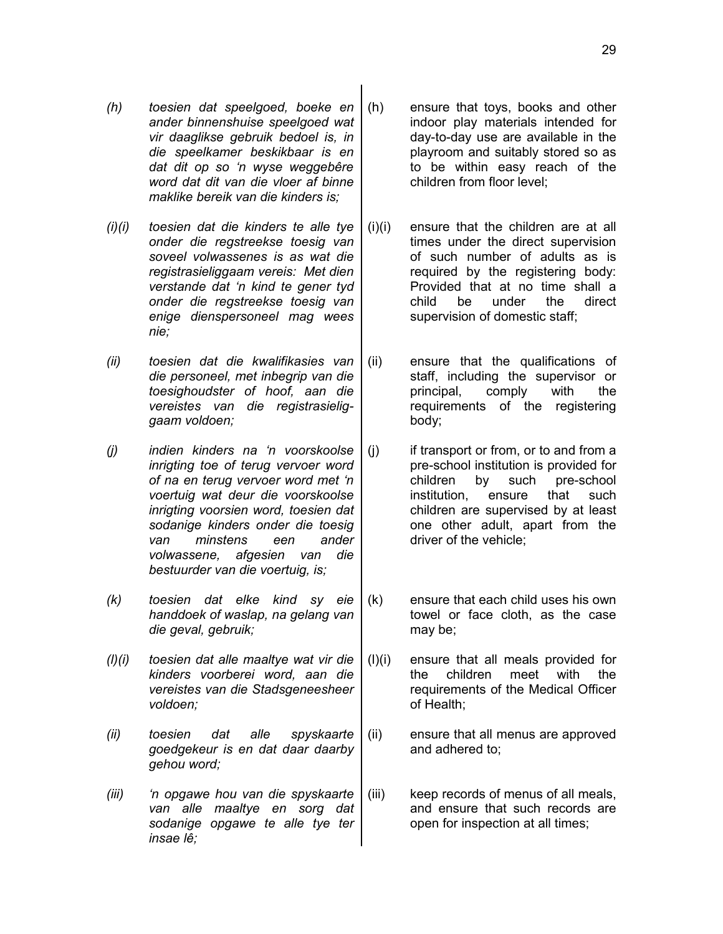- *(h) toesien dat speelgoed, boeke en ander binnenshuise speelgoed wat vir daaglikse gebruik bedoel is, in die speelkamer beskikbaar is en dat dit op so 'n wyse weggebêre word dat dit van die vloer af binne maklike bereik van die kinders is;*
- *(i)(i) toesien dat die kinders te alle tye onder die regstreekse toesig van soveel volwassenes is as wat die registrasieliggaam vereis: Met dien verstande dat 'n kind te gener tyd onder die regstreekse toesig van enige dienspersoneel mag wees nie;*
- *(ii) toesien dat die kwalifikasies van die personeel, met inbegrip van die toesighoudster of hoof, aan die vereistes van die registrasieliggaam voldoen;*
- *(j) indien kinders na 'n voorskoolse inrigting toe of terug vervoer word of na en terug vervoer word met 'n voertuig wat deur die voorskoolse inrigting voorsien word, toesien dat sodanige kinders onder die toesig van minstens een ander volwassene, afgesien van die bestuurder van die voertuig, is;*
- *(k) toesien dat elke kind sy eie handdoek of waslap, na gelang van die geval, gebruik;*
- *(l)(i) toesien dat alle maaltye wat vir die kinders voorberei word, aan die vereistes van die Stadsgeneesheer voldoen;*
- *(ii) toesien dat alle spyskaarte goedgekeur is en dat daar daarby gehou word;*
- *(iii) 'n opgawe hou van die spyskaarte van alle maaltye en sorg dat sodanige opgawe te alle tye ter insae lê;*
- (h) ensure that toys, books and other indoor play materials intended for day-to-day use are available in the playroom and suitably stored so as to be within easy reach of the children from floor level;
- (i)(i) ensure that the children are at all times under the direct supervision of such number of adults as is required by the registering body: Provided that at no time shall a child be under the direct supervision of domestic staff;
- (ii) ensure that the qualifications of staff, including the supervisor or principal, comply with the requirements of the registering body;
- $(i)$  if transport or from, or to and from a pre-school institution is provided for children by such pre-school institution, ensure that such children are supervised by at least one other adult, apart from the driver of the vehicle;
- (k) ensure that each child uses his own towel or face cloth, as the case may be;
- (l)(i) ensure that all meals provided for the children meet with the requirements of the Medical Officer of Health;
- (ii) ensure that all menus are approved and adhered to;
- (iii) keep records of menus of all meals, and ensure that such records are open for inspection at all times;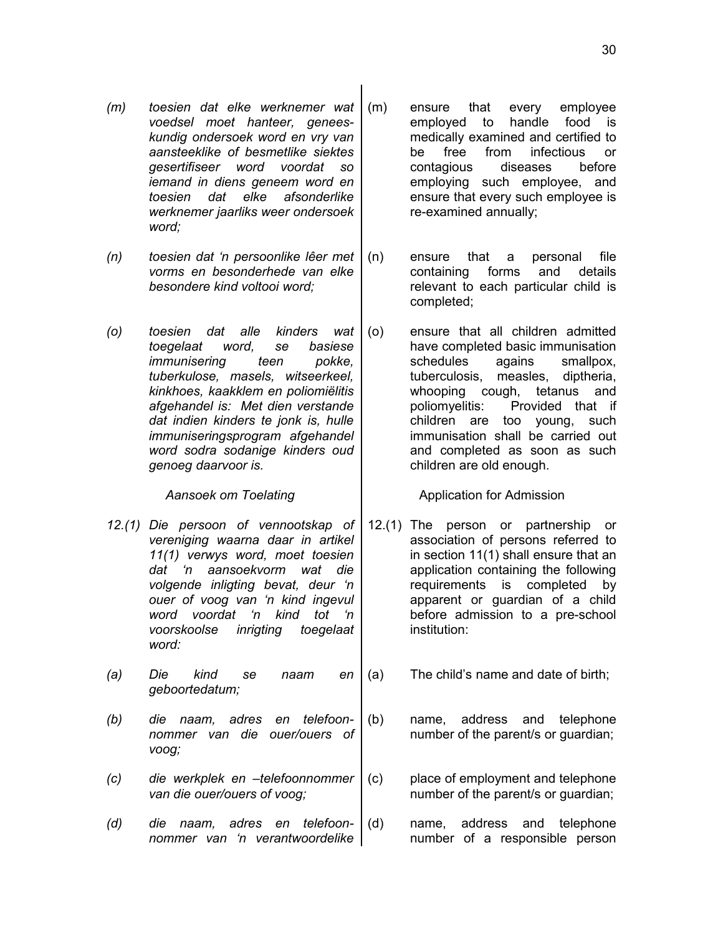- *(m) toesien dat elke werknemer wat voedsel moet hanteer, geneeskundig ondersoek word en vry van aansteeklike of besmetlike siektes gesertifiseer word voordat so iemand in diens geneem word en toesien dat elke afsonderlike werknemer jaarliks weer ondersoek word;*
- *(n) toesien dat 'n persoonlike lêer met vorms en besonderhede van elke besondere kind voltooi word;*
- *(o) toesien dat alle kinders wat toegelaat word, se basiese immunisering teen pokke, tuberkulose, masels, witseerkeel, kinkhoes, kaakklem en poliomiëlitis afgehandel is: Met dien verstande dat indien kinders te jonk is, hulle immuniseringsprogram afgehandel word sodra sodanige kinders oud genoeg daarvoor is.*

- *12.(1) Die persoon of vennootskap of vereniging waarna daar in artikel 11(1) verwys word, moet toesien dat 'n aansoekvorm wat die volgende inligting bevat, deur 'n ouer of voog van 'n kind ingevul word voordat 'n kind tot 'n voorskoolse inrigting toegelaat word:*
- *(a) Die kind se naam en geboortedatum;*
- *(b) die naam, adres en telefoonnommer van die ouer/ouers of voog;*
- *(c) die werkplek en –telefoonnommer van die ouer/ouers of voog;*
- *(d) die naam, adres en telefoonnommer van 'n verantwoordelike*
- (m) ensure that every employee employed to handle food is medically examined and certified to be free from infectious or contagious diseases before employing such employee, and ensure that every such employee is re-examined annually;
- (n) ensure that a personal file containing forms and details relevant to each particular child is completed;
- (o) ensure that all children admitted have completed basic immunisation schedules agains smallpox, tuberculosis, measles, diptheria, whooping cough, tetanus and poliomyelitis: Provided that if children are too young, such immunisation shall be carried out and completed as soon as such children are old enough.

Aansoek om Toelating **Austicia Contract Admission** 

- 12.(1) The person or partnership or association of persons referred to in section 11(1) shall ensure that an application containing the following requirements is completed by apparent or guardian of a child before admission to a pre-school institution:
- (a) The child's name and date of birth;
- (b) name, address and telephone number of the parent/s or guardian;
- (c) place of employment and telephone number of the parent/s or guardian;
- (d) name, address and telephone number of a responsible person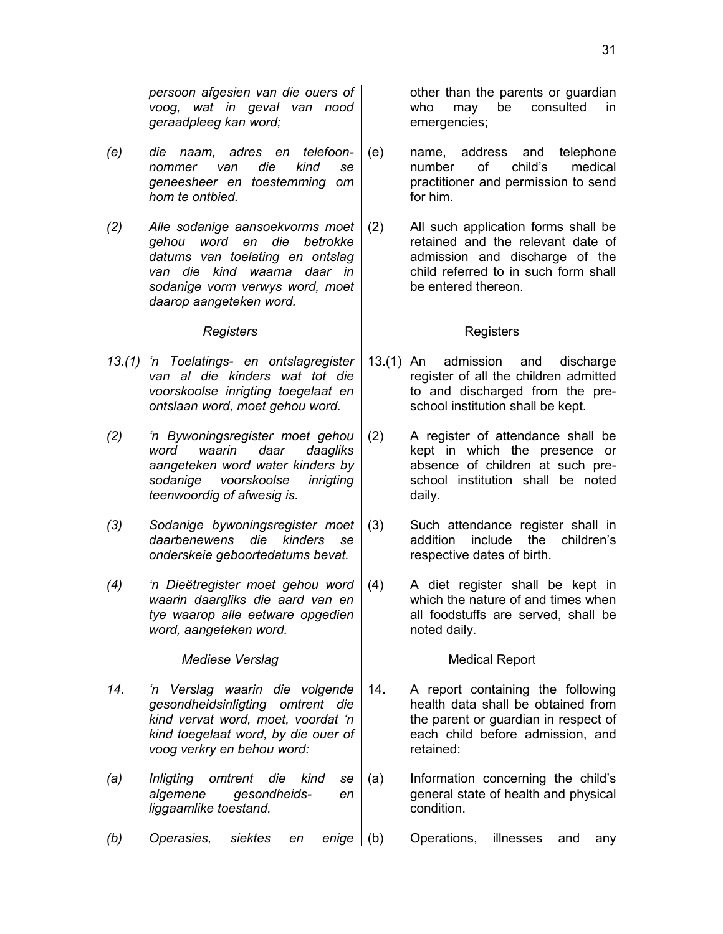*persoon afgesien van die ouers of voog, wat in geval van nood geraadpleeg kan word;*

- *(e) die naam, adres en telefoonnommer van die kind se geneesheer en toestemming om hom te ontbied.*
- *(2) Alle sodanige aansoekvorms moet gehou word en die betrokke datums van toelating en ontslag van die kind waarna daar in sodanige vorm verwys word, moet daarop aangeteken word.*

- *13.(1) 'n Toelatings- en ontslagregister van al die kinders wat tot die voorskoolse inrigting toegelaat en ontslaan word, moet gehou word.*
- *(2) 'n Bywoningsregister moet gehou word waarin daar daagliks aangeteken word water kinders by sodanige voorskoolse inrigting teenwoordig of afwesig is.*
- *(3) Sodanige bywoningsregister moet daarbenewens die kinders se onderskeie geboortedatums bevat.*
- *(4) 'n Dieëtregister moet gehou word waarin daargliks die aard van en tye waarop alle eetware opgedien word, aangeteken word.*

*Mediese Verslag* Medical Report

- *14. 'n Verslag waarin die volgende gesondheidsinligting omtrent die kind vervat word, moet, voordat 'n kind toegelaat word, by die ouer of voog verkry en behou word:*
- *(a) Inligting omtrent die kind se algemene gesondheids- en liggaamlike toestand.*
- *(b) Operasies, siektes en enige* (b) Operations, illnesses and any

other than the parents or guardian who may be consulted in emergencies;

- (e) name, address and telephone number of child's medical practitioner and permission to send for him.
- (2) All such application forms shall be retained and the relevant date of admission and discharge of the child referred to in such form shall be entered thereon.

## **Registers** Registers

- 13.(1) An admission and discharge register of all the children admitted to and discharged from the preschool institution shall be kept.
- (2) A register of attendance shall be kept in which the presence or absence of children at such preschool institution shall be noted daily.
- (3) Such attendance register shall in addition include the children's respective dates of birth.
- (4) A diet register shall be kept in which the nature of and times when all foodstuffs are served, shall be noted daily.

- 14. A report containing the following health data shall be obtained from the parent or guardian in respect of each child before admission, and retained:
- (a) Information concerning the child's general state of health and physical condition.
	-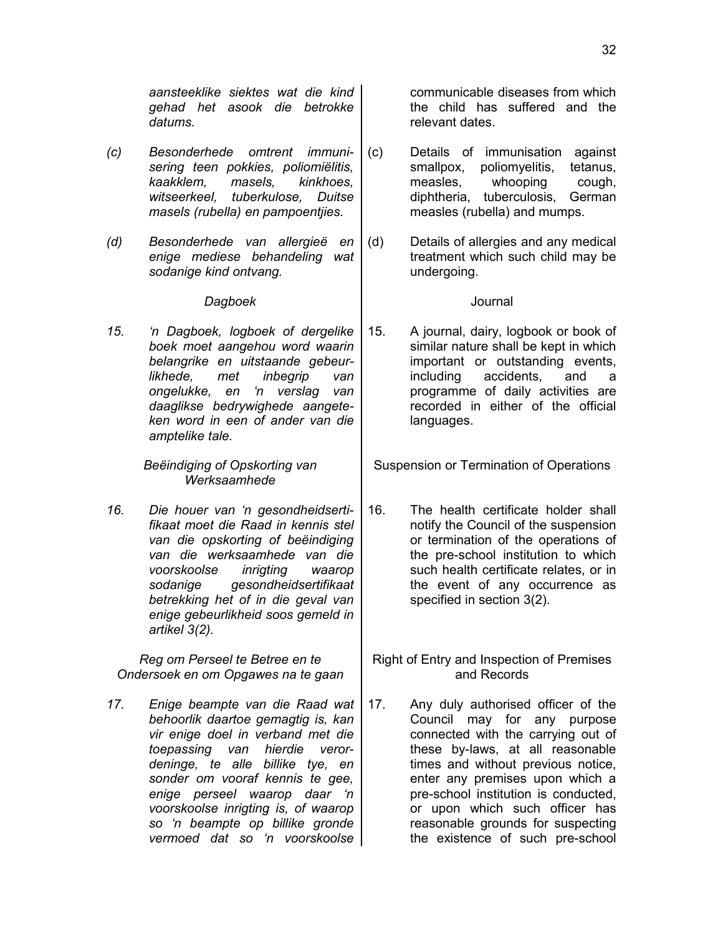*aansteeklike siektes wat die kind gehad het asook die betrokke datums.*

- *(c) Besonderhede omtrent immunisering teen pokkies, poliomiëlitis, kaakklem, masels, kinkhoes, witseerkeel, tuberkulose, Duitse masels (rubella) en pampoentjies.*
- *(d) Besonderhede van allergieë en enige mediese behandeling wat sodanige kind ontvang.*

# *Dagboek* Journal

*15. 'n Dagboek, logboek of dergelike boek moet aangehou word waarin belangrike en uitstaande gebeurlikhede, met inbegrip van ongelukke, en 'n verslag van daaglikse bedrywighede aangeteken word in een of ander van die amptelike tale.*

> *Beëindiging of Opskorting van Werksaamhede*

*16. Die houer van 'n gesondheidsertifikaat moet die Raad in kennis stel van die opskorting of beëindiging van die werksaamhede van die voorskoolse inrigting waarop sodanige gesondheidsertifikaat betrekking het of in die geval van enige gebeurlikheid soos gemeld in artikel 3(2).*

*Reg om Perseel te Betree en te Ondersoek en om Opgawes na te gaan*

*17. Enige beampte van die Raad wat behoorlik daartoe gemagtig is, kan vir enige doel in verband met die toepassing van hierdie verordeninge, te alle billike tye, en sonder om vooraf kennis te gee, enige perseel waarop daar 'n voorskoolse inrigting is, of waarop so 'n beampte op billike gronde vermoed dat so 'n voorskoolse*

communicable diseases from which the child has suffered and the relevant dates.

- (c) Details of immunisation against smallpox, poliomyelitis, tetanus, measles, whooping cough, diphtheria, tuberculosis, German measles (rubella) and mumps.
- (d) Details of allergies and any medical treatment which such child may be undergoing.

15. A journal, dairy, logbook or book of similar nature shall be kept in which important or outstanding events, including accidents, and a programme of daily activities are recorded in either of the official languages.

Suspension or Termination of Operations

- 16. The health certificate holder shall notify the Council of the suspension or termination of the operations of the pre-school institution to which such health certificate relates, or in the event of any occurrence as specified in section 3(2).
- Right of Entry and Inspection of Premises and Records
- 17. Any duly authorised officer of the Council may for any purpose connected with the carrying out of these by-laws, at all reasonable times and without previous notice, enter any premises upon which a pre-school institution is conducted, or upon which such officer has reasonable grounds for suspecting the existence of such pre-school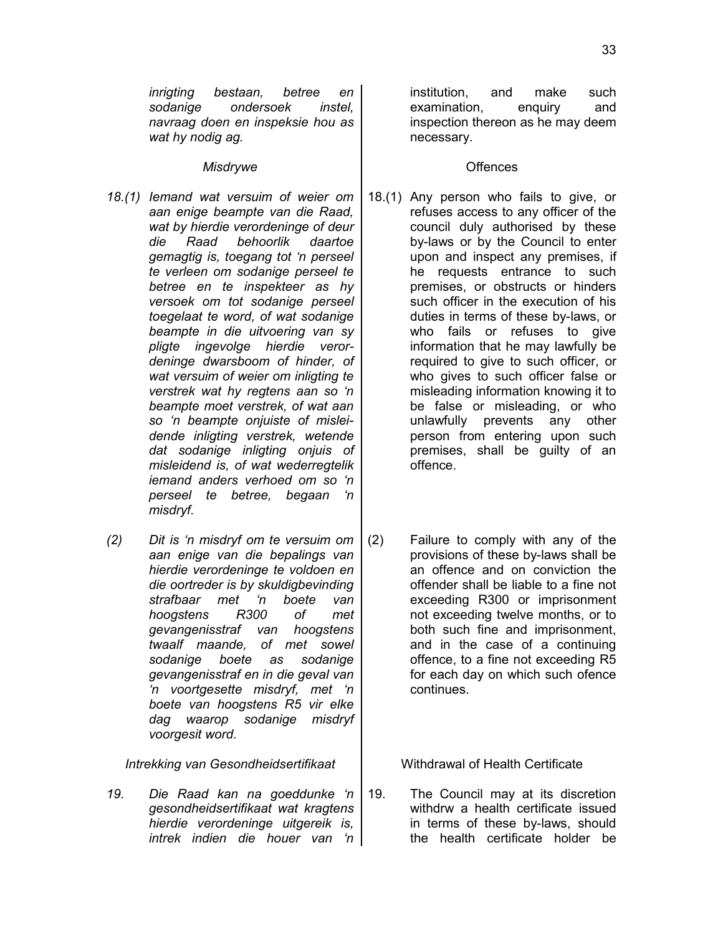*inrigting bestaan, betree en sodanige ondersoek instel, navraag doen en inspeksie hou as wat hy nodig ag.*

## *Misdrywe* and *Misdrywe* and *Misdrywe*

- *18.(1) Iemand wat versuim of weier om aan enige beampte van die Raad, wat by hierdie verordeninge of deur die Raad behoorlik daartoe gemagtig is, toegang tot 'n perseel te verleen om sodanige perseel te betree en te inspekteer as hy versoek om tot sodanige perseel toegelaat te word, of wat sodanige beampte in die uitvoering van sy pligte ingevolge hierdie verordeninge dwarsboom of hinder, of wat versuim of weier om inligting te verstrek wat hy regtens aan so 'n beampte moet verstrek, of wat aan so 'n beampte onjuiste of misleidende inligting verstrek, wetende dat sodanige inligting onjuis of misleidend is, of wat wederregtelik iemand anders verhoed om so 'n perseel te betree, begaan 'n misdryf.*
- *(2) Dit is 'n misdryf om te versuim om aan enige van die bepalings van hierdie verordeninge te voldoen en die oortreder is by skuldigbevinding strafbaar met 'n boete van hoogstens R300 of met gevangenisstraf van hoogstens twaalf maande, of met sowel sodanige boete as sodanige gevangenisstraf en in die geval van 'n voortgesette misdryf, met 'n boete van hoogstens R5 vir elke dag waarop sodanige misdryf voorgesit word.*

*Intrekking van Gesondheidsertifikaat* | Withdrawal of Health Certificate

*19. Die Raad kan na goeddunke 'n gesondheidsertifikaat wat kragtens hierdie verordeninge uitgereik is, intrek indien die houer van 'n*

institution, and make such examination, enquiry and inspection thereon as he may deem necessary.

- 18.(1) Any person who fails to give, or refuses access to any officer of the council duly authorised by these by-laws or by the Council to enter upon and inspect any premises, if he requests entrance to such premises, or obstructs or hinders such officer in the execution of his duties in terms of these by-laws, or who fails or refuses to give information that he may lawfully be required to give to such officer, or who gives to such officer false or misleading information knowing it to be false or misleading, or who unlawfully prevents any other person from entering upon such premises, shall be guilty of an offence.
- (2) Failure to comply with any of the provisions of these by-laws shall be an offence and on conviction the offender shall be liable to a fine not exceeding R300 or imprisonment not exceeding twelve months, or to both such fine and imprisonment, and in the case of a continuing offence, to a fine not exceeding R5 for each day on which such ofence continues.

19. The Council may at its discretion withdrw a health certificate issued in terms of these by-laws, should the health certificate holder be